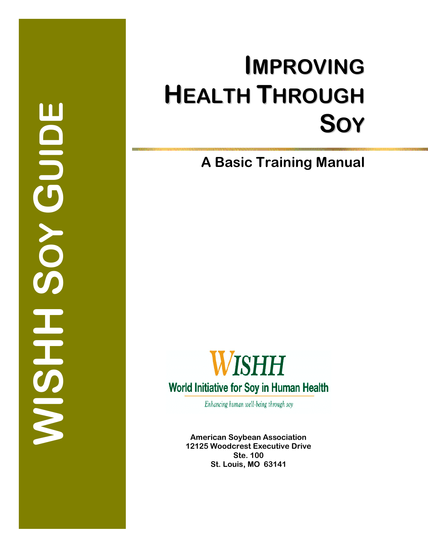Bandlog<br>Soy<br>Guine **WISHSOY GUIDE** HRSIS

# $I$  **MPROVING HEALTH THROUGH S O Y**

**A Basic Training Manual** 



Enhancing human well-being through soy

**American Soybean Association 12125 Woodcrest Executive Drive Ste. 100 St. Louis, MO 63141**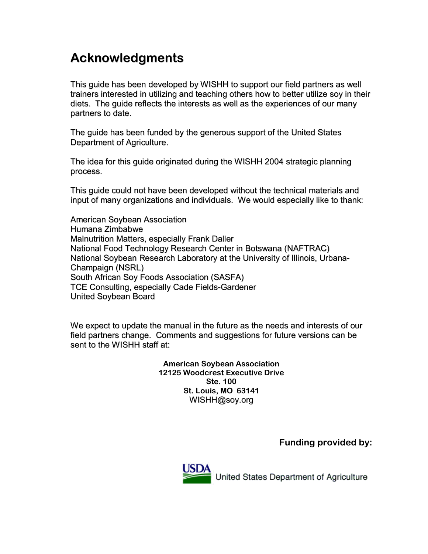# **Acknowledgments**

This guide has been developed by WISHH to support our field partners as well trainers interested in utilizing and teaching others how to better utilize soy in their diets. The guide reflects the interests as well as the experiences of our many partners to date.

The guide has been funded by the generous support of the United States Department of Agriculture.

The idea for this guide originated during the WISHH 2004 strategic planning process.

This guide could not have been developed without the technical materials and input of many organizations and individuals. We would especially like to thank:

American Soybean Association Humana Zimbabwe Malnutrition Matters, especially Frank Daller National Food Technology Research Center in Botswana (NAFTRAC) National Soybean Research Laboratory at the University of Illinois, Urbana-Champaign (NSRL) South African Soy Foods Association (SASFA) TCE Consulting, especially Cade Fields-Gardener United Soybean Board

We expect to update the manual in the future as the needs and interests of our field partners change. Comments and suggestions for future versions can be sent to the WISHH staff at:

> **American Soybean Association 12125 Woodcrest Executive Drive Ste. 100 St. Louis, MO 63141**  WISHH@soy.org

> > **Funding provided by:**



United States Department of Agriculture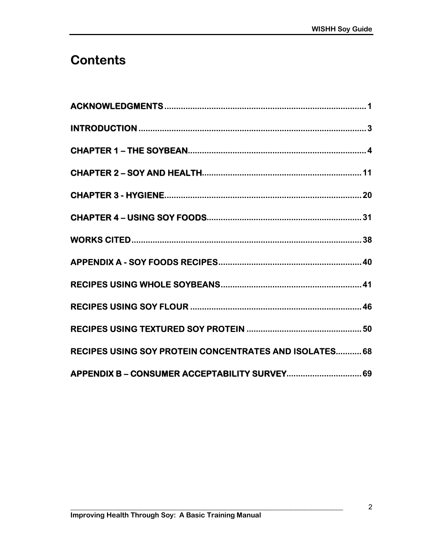# **Contents**

| RECIPES USING SOY PROTEIN CONCENTRATES AND ISOLATES 68 |
|--------------------------------------------------------|
| APPENDIX B - CONSUMER ACCEPTABILITY SURVEY 69          |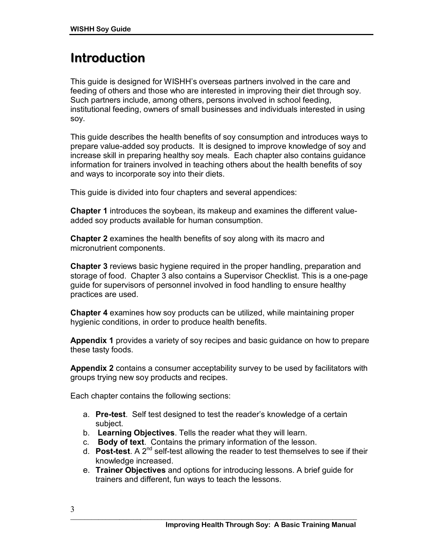# **Introduction**

This guide is designed for WISHHís overseas partners involved in the care and feeding of others and those who are interested in improving their diet through soy. Such partners include, among others, persons involved in school feeding, institutional feeding, owners of small businesses and individuals interested in using soy.

This guide describes the health benefits of soy consumption and introduces ways to prepare value-added soy products. It is designed to improve knowledge of soy and increase skill in preparing healthy soy meals. Each chapter also contains guidance information for trainers involved in teaching others about the health benefits of soy and ways to incorporate soy into their diets.

This guide is divided into four chapters and several appendices:

**Chapter 1** introduces the soybean, its makeup and examines the different valueadded soy products available for human consumption.

**Chapter 2** examines the health benefits of soy along with its macro and micronutrient components.

**Chapter 3** reviews basic hygiene required in the proper handling, preparation and storage of food. Chapter 3 also contains a Supervisor Checklist. This is a one-page guide for supervisors of personnel involved in food handling to ensure healthy practices are used.

**Chapter 4** examines how soy products can be utilized, while maintaining proper hygienic conditions, in order to produce health benefits.

**Appendix 1** provides a variety of soy recipes and basic guidance on how to prepare these tasty foods.

**Appendix 2** contains a consumer acceptability survey to be used by facilitators with groups trying new soy products and recipes.

Each chapter contains the following sections:

- a. **Pre-test**. Self test designed to test the readerís knowledge of a certain subject.
- b. **Learning Objectives**. Tells the reader what they will learn.
- c. **Body of text**. Contains the primary information of the lesson.
- d. **Post-test**. A 2nd self-test allowing the reader to test themselves to see if their knowledge increased.
- e. **Trainer Objectives** and options for introducing lessons. A brief guide for trainers and different, fun ways to teach the lessons.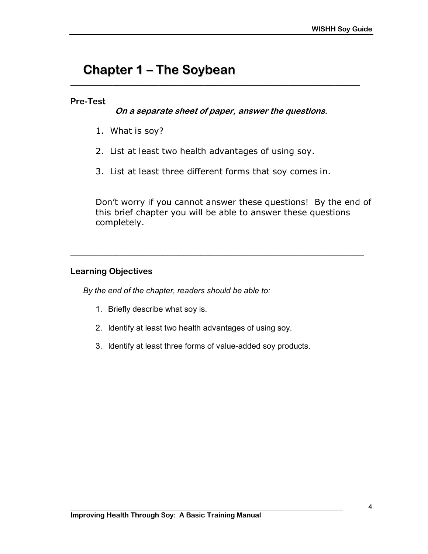# **Chapter 1 - The Soybean**

#### **Pre-Test**

**On a separate sheet of paper, answer the questions.** 

**\_\_\_\_\_\_\_\_\_\_\_\_\_\_\_\_\_\_\_\_\_\_\_\_\_\_\_\_\_\_\_\_\_\_\_\_\_\_\_\_\_\_\_\_\_\_\_\_\_\_\_\_\_\_\_\_\_\_\_\_\_\_\_\_\_\_\_\_\_** 

- 1. What is soy?
- 2. List at least two health advantages of using soy.
- 3. List at least three different forms that soy comes in.

**\_\_\_\_\_\_\_\_\_\_\_\_\_\_\_\_\_\_\_\_\_\_\_\_\_\_\_\_\_\_\_\_\_\_\_\_\_\_\_\_\_\_\_\_\_\_\_\_\_\_\_\_\_\_\_\_\_\_\_\_\_\_\_\_\_\_\_\_\_\_** 

Donít worry if you cannot answer these questions! By the end of this brief chapter you will be able to answer these questions completely.

#### **Learning Objectives**

*By the end of the chapter, readers should be able to:* 

- 1. Briefly describe what soy is.
- 2. Identify at least two health advantages of using soy.
- 3. Identify at least three forms of value-added soy products.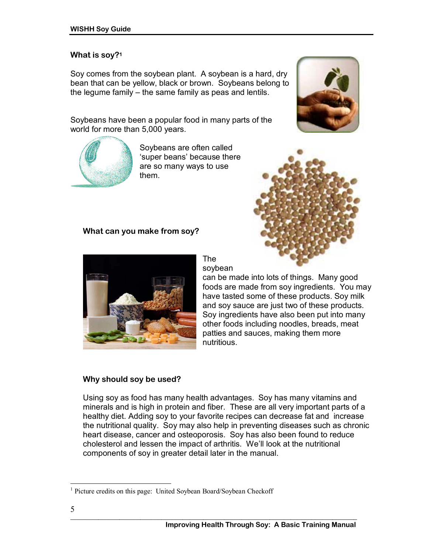#### **What is soy?1**

Soy comes from the soybean plant. A soybean is a hard, dry bean that can be yellow, black or brown. Soybeans belong to the legume family  $-$  the same family as peas and lentils.

Soybeans have been a popular food in many parts of the world for more than 5,000 years.



Soybeans are often called 'super beans' because there are so many ways to use them.

#### **What can you make from soy?**



The soybean

can be made into lots of things. Many good foods are made from soy ingredients. You may have tasted some of these products. Soy milk and soy sauce are just two of these products. Soy ingredients have also been put into many other foods including noodles, breads, meat patties and sauces, making them more nutritious.

#### **Why should soy be used?**

Using soy as food has many health advantages. Soy has many vitamins and minerals and is high in protein and fiber. These are all very important parts of a healthy diet. Adding soy to your favorite recipes can decrease fat and increase the nutritional quality. Soy may also help in preventing diseases such as chronic heart disease, cancer and osteoporosis. Soy has also been found to reduce cholesterol and lessen the impact of arthritis. We'll look at the nutritional components of soy in greater detail later in the manual.





 $\overline{a}$ 

<sup>&</sup>lt;sup>1</sup> Picture credits on this page: United Soybean Board/Soybean Checkoff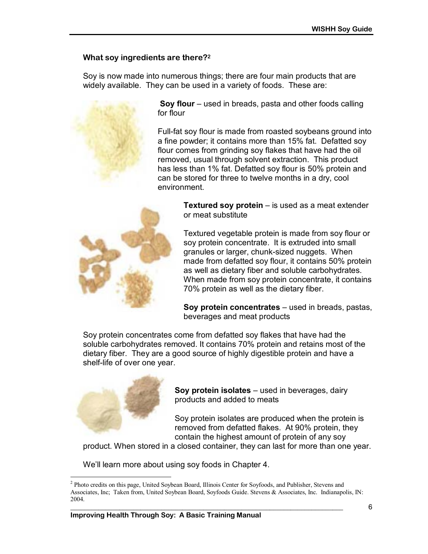# **What soy ingredients are there?2**

Soy is now made into numerous things; there are four main products that are widely available. They can be used in a variety of foods. These are:



**Soy flour** – used in breads, pasta and other foods calling for flour

Full-fat soy flour is made from roasted soybeans ground into a fine powder; it contains more than 15% fat. Defatted soy flour comes from grinding soy flakes that have had the oil removed, usual through solvent extraction. This product has less than 1% fat. Defatted soy flour is 50% protein and can be stored for three to twelve months in a dry, cool environment.



**Textured soy protein** – is used as a meat extender or meat substitute

Textured vegetable protein is made from soy flour or soy protein concentrate. It is extruded into small granules or larger, chunk-sized nuggets. When made from defatted soy flour, it contains 50% protein as well as dietary fiber and soluble carbohydrates. When made from soy protein concentrate, it contains 70% protein as well as the dietary fiber.

**Soy protein concentrates** – used in breads, pastas, beverages and meat products

Soy protein concentrates come from defatted soy flakes that have had the soluble carbohydrates removed. It contains 70% protein and retains most of the dietary fiber. They are a good source of highly digestible protein and have a shelf-life of over one year.



 $\overline{a}$ 

**Soy protein isolates** – used in beverages, dairy products and added to meats

Soy protein isolates are produced when the protein is removed from defatted flakes. At 90% protein, they contain the highest amount of protein of any soy

product. When stored in a closed container, they can last for more than one year.

We'll learn more about using soy foods in Chapter 4.

<sup>&</sup>lt;sup>2</sup> Photo credits on this page, United Soybean Board, Illinois Center for Soyfoods, and Publisher, Stevens and Associates, Inc; Taken from, United Soybean Board, Soyfoods Guide. Stevens & Associates, Inc. Indianapolis, IN: 2004.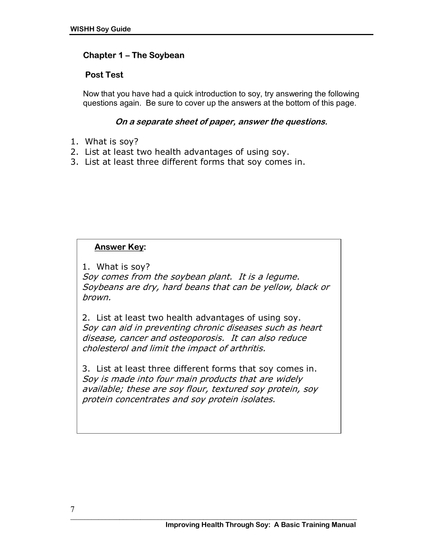# **Chapter 1 – The Soybean**

# **Post Test**

Now that you have had a quick introduction to soy, try answering the following questions again. Be sure to cover up the answers at the bottom of this page.

### **On a separate sheet of paper, answer the questions.**

- 1. What is soy?
- 2. List at least two health advantages of using soy.
- 3. List at least three different forms that soy comes in.

# **Answer Key:**

1. What is soy?

Soy comes from the soybean plant. It is a legume. Soybeans are dry, hard beans that can be yellow, black or brown.

2. List at least two health advantages of using soy. Soy can aid in preventing chronic diseases such as heart disease, cancer and osteoporosis. It can also reduce cholesterol and limit the impact of arthritis.

3. List at least three different forms that soy comes in. Soy is made into four main products that are widely available; these are soy flour, textured soy protein, soy protein concentrates and soy protein isolates.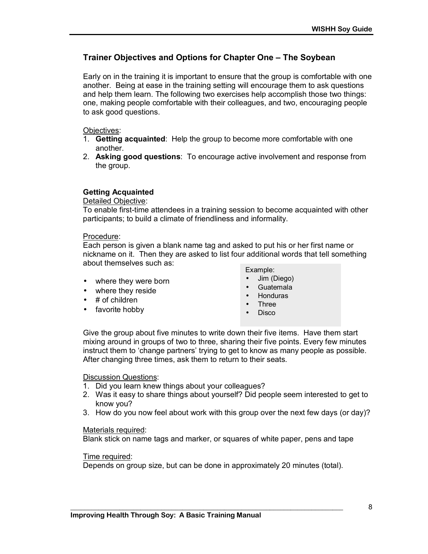# **Trainer Objectives and Options for Chapter One – The Soybean**

Early on in the training it is important to ensure that the group is comfortable with one another. Being at ease in the training setting will encourage them to ask questions and help them learn. The following two exercises help accomplish those two things: one, making people comfortable with their colleagues, and two, encouraging people to ask good questions.

Objectives:

- 1. **Getting acquainted**: Help the group to become more comfortable with one another.
- 2. **Asking good questions**: To encourage active involvement and response from the group.

#### **Getting Acquainted**

Detailed Objective:

To enable first-time attendees in a training session to become acquainted with other participants; to build a climate of friendliness and informality.

#### Procedure:

Each person is given a blank name tag and asked to put his or her first name or nickname on it. Then they are asked to list four additional words that tell something about themselves such as:

- where they were born
- where they reside
- $\bullet$  # of children
- favorite hobby
- Example:
- Jim (Diego)
- Guatemala
- Honduras
- Three
- Disco

Give the group about five minutes to write down their five items. Have them start mixing around in groups of two to three, sharing their five points. Every few minutes instruct them to 'change partners' trying to get to know as many people as possible. After changing three times, ask them to return to their seats.

Discussion Questions:

- 1. Did you learn knew things about your colleagues?
- 2. Was it easy to share things about yourself? Did people seem interested to get to know you?
- 3. How do you now feel about work with this group over the next few days (or day)?

#### Materials required:

Blank stick on name tags and marker, or squares of white paper, pens and tape

#### Time required:

Depends on group size, but can be done in approximately 20 minutes (total).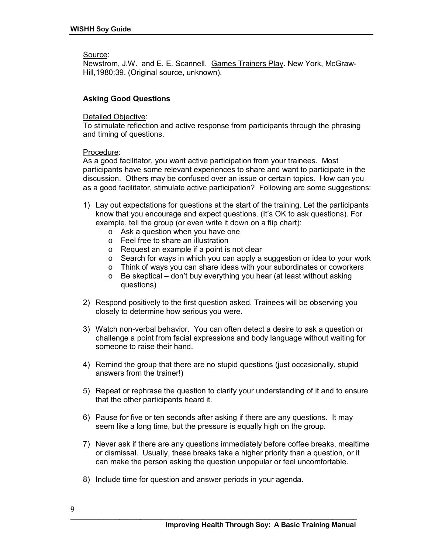Source:

Newstrom, J.W. and E. E. Scannell. Games Trainers Play. New York, McGraw-Hill,1980:39. (Original source, unknown).

#### **Asking Good Questions**

#### Detailed Objective:

To stimulate reflection and active response from participants through the phrasing and timing of questions.

#### Procedure:

As a good facilitator, you want active participation from your trainees. Most participants have some relevant experiences to share and want to participate in the discussion. Others may be confused over an issue or certain topics. How can you as a good facilitator, stimulate active participation? Following are some suggestions:

- 1) Lay out expectations for questions at the start of the training. Let the participants know that you encourage and expect questions. (Itís OK to ask questions). For example, tell the group (or even write it down on a flip chart):
	- o Ask a question when you have one
	- o Feel free to share an illustration
	- o Request an example if a point is not clear
	- o Search for ways in which you can apply a suggestion or idea to your work
	- o Think of ways you can share ideas with your subordinates or coworkers
	- $\circ$  Be skeptical don't buy everything you hear (at least without asking questions)
- 2) Respond positively to the first question asked. Trainees will be observing you closely to determine how serious you were.
- 3) Watch non-verbal behavior. You can often detect a desire to ask a question or challenge a point from facial expressions and body language without waiting for someone to raise their hand.
- 4) Remind the group that there are no stupid questions (just occasionally, stupid answers from the trainer!)
- 5) Repeat or rephrase the question to clarify your understanding of it and to ensure that the other participants heard it.
- 6) Pause for five or ten seconds after asking if there are any questions. It may seem like a long time, but the pressure is equally high on the group.
- 7) Never ask if there are any questions immediately before coffee breaks, mealtime or dismissal. Usually, these breaks take a higher priority than a question, or it can make the person asking the question unpopular or feel uncomfortable.
- 8) Include time for question and answer periods in your agenda.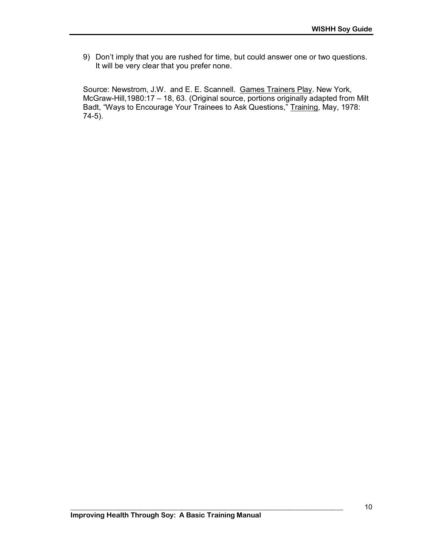9) Donít imply that you are rushed for time, but could answer one or two questions. It will be very clear that you prefer none.

Source: Newstrom, J.W. and E. E. Scannell. Games Trainers Play. New York, McGraw-Hill, 1980:17 – 18, 63. (Original source, portions originally adapted from Milt Badt, "Ways to Encourage Your Trainees to Ask Questions," Training, May, 1978: 74-5).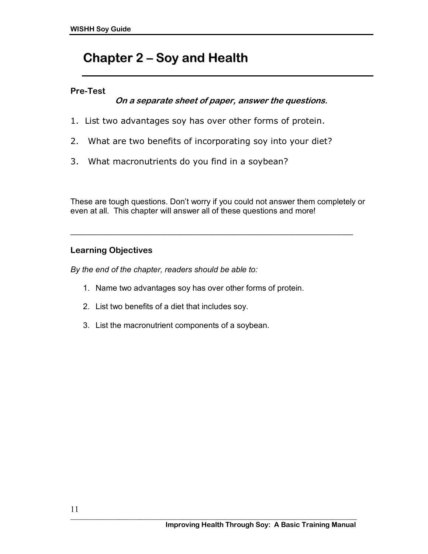# **Chapter 2 ñ Soy and Health**

# **Pre-Test**

# **On a separate sheet of paper, answer the questions.**

- 1. List two advantages soy has over other forms of protein.
- 2. What are two benefits of incorporating soy into your diet?
- 3. What macronutrients do you find in a soybean?

These are tough questions. Don't worry if you could not answer them completely or even at all. This chapter will answer all of these questions and more!

\_\_\_\_\_\_\_\_\_\_\_\_\_\_\_\_\_\_\_\_\_\_\_\_\_\_\_\_\_\_\_\_\_\_\_\_\_\_\_\_\_\_\_\_\_\_\_\_\_\_\_\_\_

# **Learning Objectives**

*By the end of the chapter, readers should be able to:* 

- 1. Name two advantages soy has over other forms of protein.
- 2. List two benefits of a diet that includes soy.
- 3. List the macronutrient components of a soybean.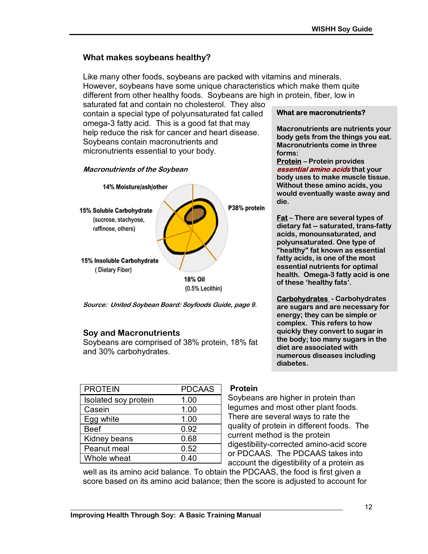### **What makes soybeans healthy?**

Like many other foods, soybeans are packed with vitamins and minerals. However, soybeans have some unique characteristics which make them quite different from other healthy foods. Soybeans are high in protein, fiber, low in

saturated fat and contain no cholesterol. They also contain a special type of polyunsaturated fat called omega-3 fatty acid. This is a good fat that may help reduce the risk for cancer and heart disease. Soybeans contain macronutrients and micronutrients essential to your body.





**Source: United Soybean Board: Soyfoods Guide, page 9.** 

#### **Soy and Macronutrients**

Soybeans are comprised of 38% protein, 18% fat and 30% carbohydrates.

| <b>PROTEIN</b>       | <b>PDCAAS</b> |  |
|----------------------|---------------|--|
| Isolated soy protein | 1.00          |  |
| Casein               | 1.00          |  |
| Egg white            | 1.00          |  |
| <b>Beef</b>          | 0.92          |  |
| Kidney beans         | 0.68          |  |
| Peanut meal          | 0.52          |  |
| Whole wheat          | 0.40          |  |

#### **Protein**

Soybeans are higher in protein than legumes and most other plant foods. There are several ways to rate the quality of protein in different foods. The current method is the protein digestibility-corrected amino-acid score or PDCAAS. The PDCAAS takes into account the digestibility of a protein as

well as its amino acid balance. To obtain the PDCAAS, the food is first given a score based on its amino acid balance; then the score is adjusted to account for

### **What are macronutrients?**

**Macronutrients are nutrients your body gets from the things you eat. Macronutrients come in three forms:** 

**Protein** – Protein provides **essential amino acids that your body uses to make muscle tissue. Without these amino acids, you would eventually waste away and die.** 

**Fat** – There are several types of **dietary fat -- saturated, trans-fatty acids, monounsaturated, and polyunsaturated. One type of "healthy" fat known as essential fatty acids, is one of the most essential nutrients for optimal health. Omega-3 fatty acid is one of these ëhealthy fatsí.** 

**Carbohydrates - Carbohydrates are sugars and are necessary for energy; they can be simple or complex. This refers to how quickly they convert to sugar in the body; too many sugars in the diet are associated with numerous diseases including diabetes.**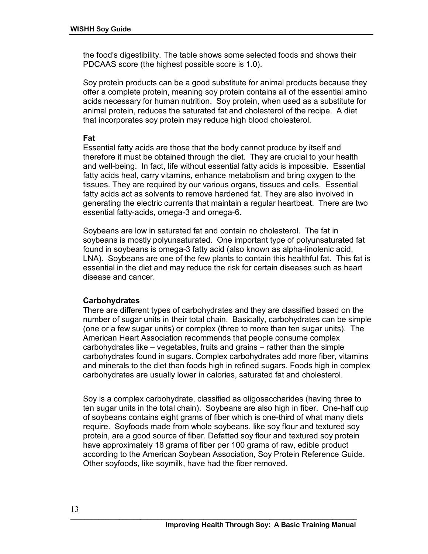the food's digestibility. The table shows some selected foods and shows their PDCAAS score (the highest possible score is 1.0).

Soy protein products can be a good substitute for animal products because they offer a complete protein, meaning soy protein contains all of the essential amino acids necessary for human nutrition. Soy protein, when used as a substitute for animal protein, reduces the saturated fat and cholesterol of the recipe. A diet that incorporates soy protein may reduce high blood cholesterol.

#### **Fat**

Essential fatty acids are those that the body cannot produce by itself and therefore it must be obtained through the diet. They are crucial to your health and well-being. In fact, life without essential fatty acids is impossible. Essential fatty acids heal, carry vitamins, enhance metabolism and bring oxygen to the tissues. They are required by our various organs, tissues and cells. Essential fatty acids act as solvents to remove hardened fat. They are also involved in generating the electric currents that maintain a regular heartbeat. There are two essential fatty-acids, omega-3 and omega-6.

Soybeans are low in saturated fat and contain no cholesterol. The fat in soybeans is mostly polyunsaturated. One important type of polyunsaturated fat found in soybeans is omega-3 fatty acid (also known as alpha-linolenic acid, LNA). Soybeans are one of the few plants to contain this healthful fat. This fat is essential in the diet and may reduce the risk for certain diseases such as heart disease and cancer.

#### **Carbohydrates**

There are different types of carbohydrates and they are classified based on the number of sugar units in their total chain. Basically, carbohydrates can be simple (one or a few sugar units) or complex (three to more than ten sugar units). The American Heart Association recommends that people consume complex carbohydrates like  $-$  vegetables, fruits and grains  $-$  rather than the simple carbohydrates found in sugars. Complex carbohydrates add more fiber, vitamins and minerals to the diet than foods high in refined sugars. Foods high in complex carbohydrates are usually lower in calories, saturated fat and cholesterol.

Soy is a complex carbohydrate, classified as oligosaccharides (having three to ten sugar units in the total chain). Soybeans are also high in fiber. One-half cup of soybeans contains eight grams of fiber which is one-third of what many diets require. Soyfoods made from whole soybeans, like soy flour and textured soy protein, are a good source of fiber. Defatted soy flour and textured soy protein have approximately 18 grams of fiber per 100 grams of raw, edible product according to the American Soybean Association, Soy Protein Reference Guide. Other soyfoods, like soymilk, have had the fiber removed.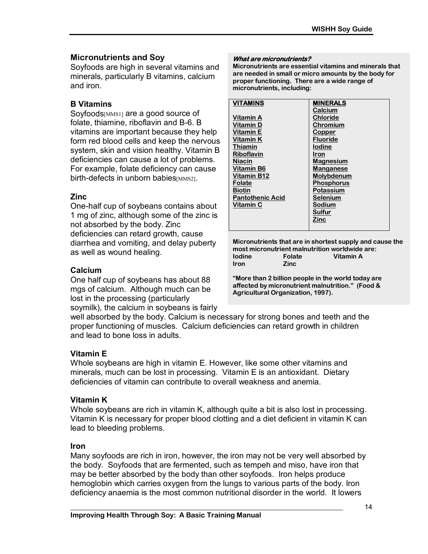#### **Micronutrients and Soy**

Soyfoods are high in several vitamins and minerals, particularly B vitamins, calcium and iron.

#### **B Vitamins**

Soyfoods[MMS1] are a good source of folate, thiamine, riboflavin and B-6. B vitamins are important because they help form red blood cells and keep the nervous system, skin and vision healthy. Vitamin B deficiencies can cause a lot of problems. For example, folate deficiency can cause birth-defects in unborn babies[MMS2].

#### **Zinc**

One-half cup of soybeans contains about 1 mg of zinc, although some of the zinc is not absorbed by the body. Zinc deficiencies can retard growth, cause diarrhea and vomiting, and delay puberty as well as wound healing.

#### **Calcium**

One half cup of soybeans has about 88 mgs of calcium. Although much can be lost in the processing (particularly soymilk), the calcium in soybeans is fairly

#### well absorbed by the body. Calcium is necessary for strong bones and teeth and the proper functioning of muscles. Calcium deficiencies can retard growth in children and lead to bone loss in adults.

#### **Vitamin E**

Whole soybeans are high in vitamin E. However, like some other vitamins and minerals, much can be lost in processing. Vitamin E is an antioxidant. Dietary deficiencies of vitamin can contribute to overall weakness and anemia.

#### **Vitamin K**

Whole soybeans are rich in vitamin K, although quite a bit is also lost in processing. Vitamin K is necessary for proper blood clotting and a diet deficient in vitamin K can lead to bleeding problems.

#### **Iron**

Many soyfoods are rich in iron, however, the iron may not be very well absorbed by the body. Soyfoods that are fermented, such as tempeh and miso, have iron that may be better absorbed by the body than other soyfoods. Iron helps produce hemoglobin which carries oxygen from the lungs to various parts of the body. Iron deficiency anaemia is the most common nutritional disorder in the world. It lowers

**\_\_\_\_\_\_\_\_\_\_\_\_\_\_\_\_\_\_\_\_\_\_\_\_\_\_\_\_\_\_\_\_\_\_\_\_\_\_\_\_\_\_\_\_\_\_\_\_\_\_\_\_\_\_\_\_\_\_\_\_\_\_\_\_\_\_\_\_\_\_\_\_\_\_\_\_\_\_** 

#### **What are micronutrients?**

**Micronutrients are essential vitamins and minerals that are needed in small or micro amounts by the body for proper functioning. There are a wide range of micronutrients, including:** 

| <b>VITAMINS</b>         | <b>MINERALS</b>   |
|-------------------------|-------------------|
|                         | Calcium           |
| <b>Vitamin A</b>        | <b>Chloride</b>   |
| Vitamin D               | <b>Chromium</b>   |
| <b>Vitamin E</b>        | Copper            |
| Vitamin K               | <b>Fluoride</b>   |
| Thiamin                 | <b>lodine</b>     |
| <b>Riboflavin</b>       | <b>Iron</b>       |
| Niacin                  | <b>Magnesium</b>  |
| Vitamin B6              | <b>Manganese</b>  |
| Vitamin B12             | Molybdenum        |
| Folate                  | <b>Phosphorus</b> |
| <b>Biotin</b>           | Potassium         |
| <b>Pantothenic Acid</b> | <b>Selenium</b>   |
| Vitamin C               | Sodium            |
|                         | <b>Sulfur</b>     |
|                         | Zinc              |
|                         |                   |

**Micronutrients that are in shortest supply and cause the most micronutrient malnutrition worldwide are: Iodine Folate Vitamin A Iron Zinc** 

**ìMore than 2 billion people in the world today are affected by micronutrient malnutrition.î (Food & Agricultural Organization, 1997).**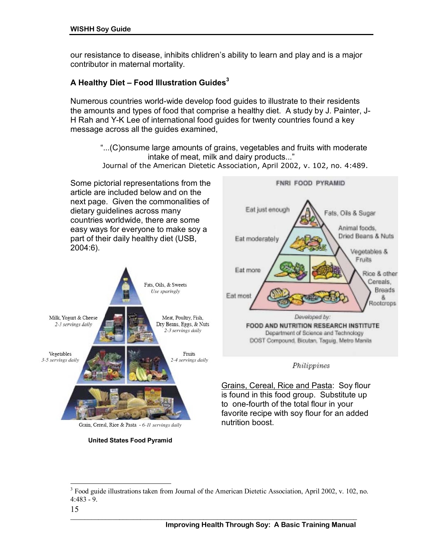our resistance to disease, inhibits chlidrenís ability to learn and play and is a major contributor in maternal mortality.

# A Healthy Diet – Food Illustration Guides<sup>3</sup>

Numerous countries world-wide develop food guides to illustrate to their residents the amounts and types of food that comprise a healthy diet. A study by J. Painter, J-H Rah and Y-K Lee of international food guides for twenty countries found a key message across all the guides examined,

ì...(C)onsume large amounts of grains, vegetables and fruits with moderate intake of meat, milk and dairy products..." Journal of the American Dietetic Association, April 2002, v. 102, no. 4:489.

Some pictorial representations from the article are included below and on the next page. Given the commonalities of dietary guidelines across many countries worldwide, there are some easy ways for everyone to make soy a part of their daily healthy diet (USB, 2004:6).



Grain, Cereal, Rice & Pasta - 6-11 servings daily





#### Philippines

Grains, Cereal, Rice and Pasta: Soy flour is found in this food group. Substitute up to one-fourth of the total flour in your favorite recipe with soy flour for an added nutrition boost.

**\_\_\_\_\_\_\_\_\_\_\_\_\_\_\_\_\_\_\_\_\_\_\_\_\_\_\_\_\_\_\_\_\_\_\_\_\_\_\_\_\_\_\_\_\_\_\_\_\_\_\_\_\_\_\_\_\_\_\_\_\_\_\_\_\_\_\_\_\_\_\_\_\_\_\_\_\_\_\_\_\_\_** 

 $\overline{a}$ 

<sup>&</sup>lt;sup>3</sup> Food guide illustrations taken from Journal of the American Dietetic Association, April 2002, v. 102, no. 4:483 - 9.

<sup>15</sup>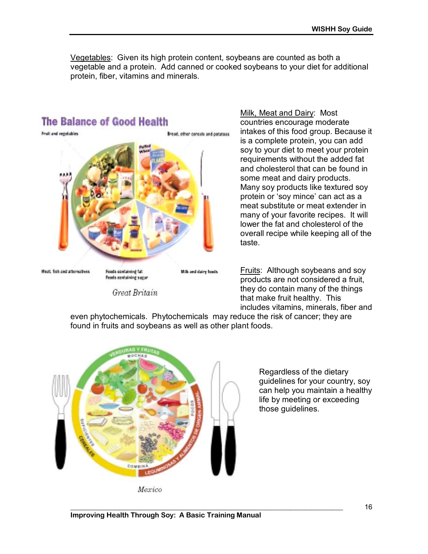Vegetables: Given its high protein content, soybeans are counted as both a vegetable and a protein. Add canned or cooked soybeans to your diet for additional protein, fiber, vitamins and minerals.



countries encourage moderate intakes of this food group. Because it is a complete protein, you can add soy to your diet to meet your protein requirements without the added fat and cholesterol that can be found in some meat and dairy products. Many soy products like textured soy protein or 'soy mince' can act as a meat substitute or meat extender in many of your favorite recipes. It will lower the fat and cholesterol of the overall recipe while keeping all of the taste.

Fruits: Although soybeans and soy products are not considered a fruit, they do contain many of the things that make fruit healthy. This includes vitamins, minerals, fiber and

even phytochemicals. Phytochemicals may reduce the risk of cancer; they are found in fruits and soybeans as well as other plant foods.



Regardless of the dietary guidelines for your country, soy can help you maintain a healthy life by meeting or exceeding those guidelines.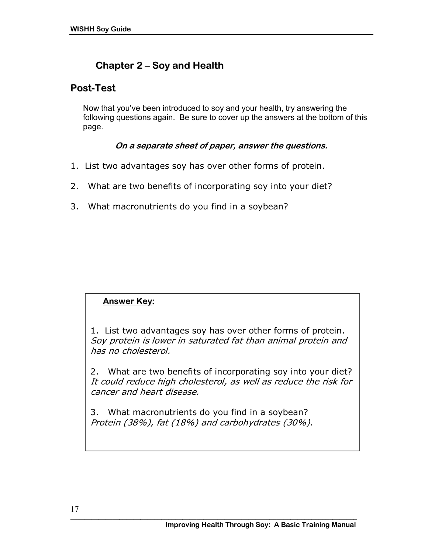# **Chapter 2 ñ Soy and Health**

# **Post-Test**

Now that youíve been introduced to soy and your health, try answering the following questions again. Be sure to cover up the answers at the bottom of this page.

# **On a separate sheet of paper, answer the questions.**

- 1. List two advantages soy has over other forms of protein.
- 2. What are two benefits of incorporating soy into your diet?
- 3. What macronutrients do you find in a soybean?

# **Answer Key:**

1. List two advantages soy has over other forms of protein. Soy protein is lower in saturated fat than animal protein and has no cholesterol.

2. What are two benefits of incorporating soy into your diet? It could reduce high cholesterol, as well as reduce the risk for cancer and heart disease.

3. What macronutrients do you find in a soybean? Protein (38%), fat (18%) and carbohydrates (30%).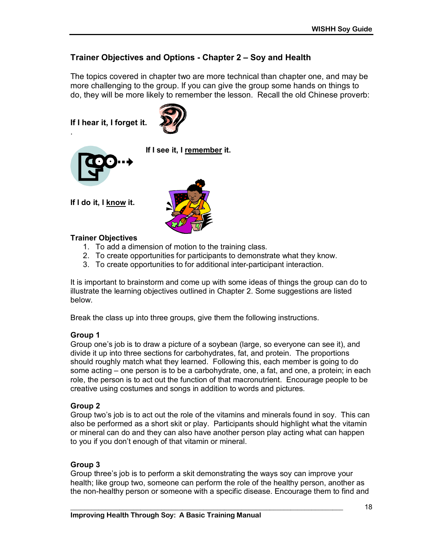# Trainer Objectives and Options - Chapter 2 – Soy and Health

The topics covered in chapter two are more technical than chapter one, and may be more challenging to the group. If you can give the group some hands on things to do, they will be more likely to remember the lesson. Recall the old Chinese proverb:

**If I hear it, I forget it.** 





.

**If I see it, I remember it.** 

**If I do it, I know it.** 



#### **Trainer Objectives**

- 1. To add a dimension of motion to the training class.
- 2. To create opportunities for participants to demonstrate what they know.
- 3. To create opportunities to for additional inter-participant interaction.

It is important to brainstorm and come up with some ideas of things the group can do to illustrate the learning objectives outlined in Chapter 2. Some suggestions are listed below.

Break the class up into three groups, give them the following instructions.

#### **Group 1**

Group oneís job is to draw a picture of a soybean (large, so everyone can see it), and divide it up into three sections for carbohydrates, fat, and protein. The proportions should roughly match what they learned. Following this, each member is going to do some acting  $-$  one person is to be a carbohydrate, one, a fat, and one, a protein; in each role, the person is to act out the function of that macronutrient. Encourage people to be creative using costumes and songs in addition to words and pictures.

#### **Group 2**

Group twoís job is to act out the role of the vitamins and minerals found in soy. This can also be performed as a short skit or play. Participants should highlight what the vitamin or mineral can do and they can also have another person play acting what can happen to you if you don't enough of that vitamin or mineral.

#### **Group 3**

Group threeís job is to perform a skit demonstrating the ways soy can improve your health; like group two, someone can perform the role of the healthy person, another as the non-healthy person or someone with a specific disease. Encourage them to find and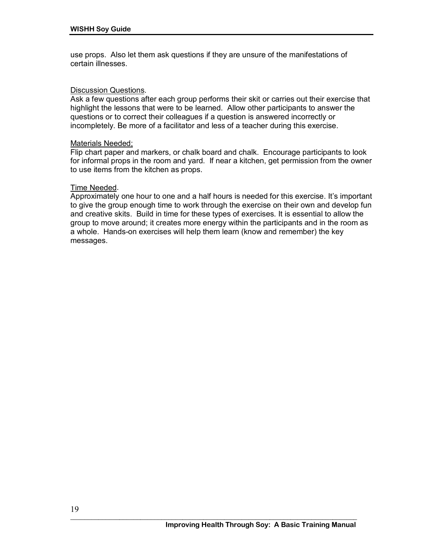use props. Also let them ask questions if they are unsure of the manifestations of certain illnesses.

#### Discussion Questions.

Ask a few questions after each group performs their skit or carries out their exercise that highlight the lessons that were to be learned. Allow other participants to answer the questions or to correct their colleagues if a question is answered incorrectly or incompletely. Be more of a facilitator and less of a teacher during this exercise.

#### Materials Needed;

Flip chart paper and markers, or chalk board and chalk. Encourage participants to look for informal props in the room and yard. If near a kitchen, get permission from the owner to use items from the kitchen as props.

#### Time Needed.

Approximately one hour to one and a half hours is needed for this exercise. It's important to give the group enough time to work through the exercise on their own and develop fun and creative skits. Build in time for these types of exercises. It is essential to allow the group to move around; it creates more energy within the participants and in the room as a whole. Hands-on exercises will help them learn (know and remember) the key messages.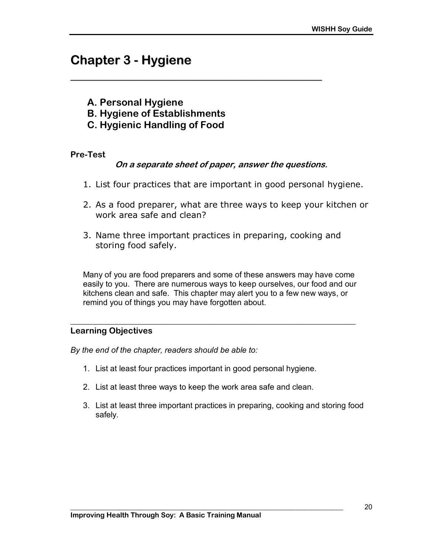# **Chapter 3 - Hygiene**

- **A. Personal Hygiene**
- **B. Hygiene of Establishments**
- **C. Hygienic Handling of Food**

#### **Pre-Test**

#### **On a separate sheet of paper, answer the questions.**

**\_\_\_\_\_\_\_\_\_\_\_\_\_\_\_\_\_\_\_\_\_\_\_\_\_\_\_\_\_\_\_\_\_\_\_\_\_\_\_\_**

- 1. List four practices that are important in good personal hygiene.
- 2. As a food preparer, what are three ways to keep your kitchen or work area safe and clean?
- 3. Name three important practices in preparing, cooking and storing food safely.

Many of you are food preparers and some of these answers may have come easily to you. There are numerous ways to keep ourselves, our food and our kitchens clean and safe. This chapter may alert you to a few new ways, or remind you of things you may have forgotten about.

**\_\_\_\_\_\_\_\_\_\_\_\_\_\_\_\_\_\_\_\_\_\_\_\_\_\_\_\_\_\_\_\_\_\_\_\_\_\_\_\_\_\_\_\_\_\_\_\_\_\_\_\_\_\_\_\_\_\_\_\_\_\_\_\_\_\_\_\_** 

#### **Learning Objectives**

*By the end of the chapter, readers should be able to:* 

- 1. List at least four practices important in good personal hygiene.
- 2. List at least three ways to keep the work area safe and clean.

**\_\_\_\_\_\_\_\_\_\_\_\_\_\_\_\_\_\_\_\_\_\_\_\_\_\_\_\_\_\_\_\_\_\_\_\_\_\_\_\_\_\_\_\_\_\_\_\_\_\_\_\_\_\_\_\_\_\_\_\_\_\_\_\_\_\_\_\_\_\_\_\_\_\_\_\_\_\_** 

3. List at least three important practices in preparing, cooking and storing food safely.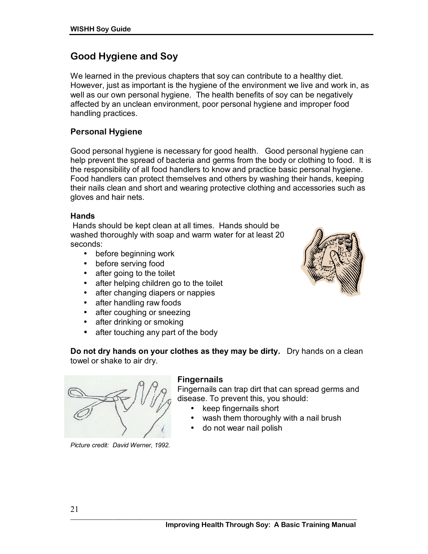# **Good Hygiene and Soy**

We learned in the previous chapters that soy can contribute to a healthy diet. However, just as important is the hygiene of the environment we live and work in, as well as our own personal hygiene. The health benefits of soy can be negatively affected by an unclean environment, poor personal hygiene and improper food handling practices.

# **Personal Hygiene**

Good personal hygiene is necessary for good health. Good personal hygiene can help prevent the spread of bacteria and germs from the body or clothing to food. It is the responsibility of all food handlers to know and practice basic personal hygiene. Food handlers can protect themselves and others by washing their hands, keeping their nails clean and short and wearing protective clothing and accessories such as gloves and hair nets.

#### **Hands**

 Hands should be kept clean at all times. Hands should be washed thoroughly with soap and warm water for at least 20 seconds:

- before beginning work
- before serving food
- after going to the toilet
- after helping children go to the toilet
- after changing diapers or nappies
- after handling raw foods
- after coughing or sneezing
- after drinking or smoking
- after touching any part of the body

**Do not dry hands on your clothes as they may be dirty.** Dry hands on a clean towel or shake to air dry.



*Picture credit: David Werner, 1992.* 

#### **Fingernails**

Fingernails can trap dirt that can spread germs and disease. To prevent this, you should:

- keep fingernails short
- wash them thoroughly with a nail brush
- do not wear nail polish

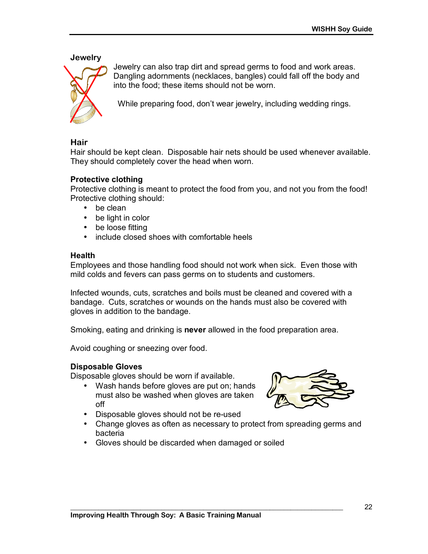**Jewelry** 



Jewelry can also trap dirt and spread germs to food and work areas. Dangling adornments (necklaces, bangles) could fall off the body and into the food; these items should not be worn.

While preparing food, don't wear jewelry, including wedding rings.

#### **Hair**

Hair should be kept clean. Disposable hair nets should be used whenever available. They should completely cover the head when worn.

#### **Protective clothing**

Protective clothing is meant to protect the food from you, and not you from the food! Protective clothing should:

- be clean
- be light in color
- be loose fitting
- include closed shoes with comfortable heels

#### **Health**

Employees and those handling food should not work when sick. Even those with mild colds and fevers can pass germs on to students and customers.

Infected wounds, cuts, scratches and boils must be cleaned and covered with a bandage. Cuts, scratches or wounds on the hands must also be covered with gloves in addition to the bandage.

Smoking, eating and drinking is **never** allowed in the food preparation area.

Avoid coughing or sneezing over food.

#### **Disposable Gloves**

Disposable gloves should be worn if available.

• Wash hands before gloves are put on; hands must also be washed when gloves are taken off



- Disposable gloves should not be re-used
- Change gloves as often as necessary to protect from spreading germs and bacteria

**\_\_\_\_\_\_\_\_\_\_\_\_\_\_\_\_\_\_\_\_\_\_\_\_\_\_\_\_\_\_\_\_\_\_\_\_\_\_\_\_\_\_\_\_\_\_\_\_\_\_\_\_\_\_\_\_\_\_\_\_\_\_\_\_\_\_\_\_\_\_\_\_\_\_\_\_\_\_** 

• Gloves should be discarded when damaged or soiled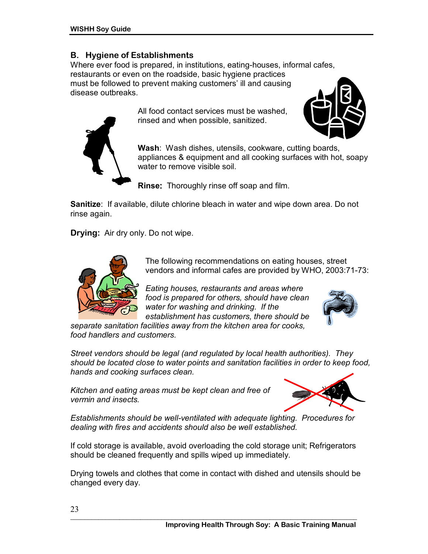### **B. Hygiene of Establishments**

Where ever food is prepared, in institutions, eating-houses, informal cafes, restaurants or even on the roadside, basic hygiene practices must be followed to prevent making customers' ill and causing disease outbreaks.

All food contact services must be washed, rinsed and when possible, sanitized.



**Rinse:** Thoroughly rinse off soap and film.

**Sanitize**: If available, dilute chlorine bleach in water and wipe down area. Do not rinse again.

**Drying:** Air dry only. Do not wipe.



The following recommendations on eating houses, street vendors and informal cafes are provided by WHO, 2003:71-73:

*Eating houses, restaurants and areas where food is prepared for others, should have clean water for washing and drinking. If the establishment has customers, there should be* 



*separate sanitation facilities away from the kitchen area for cooks, food handlers and customers.* 

*Street vendors should be legal (and regulated by local health authorities). They should be located close to water points and sanitation facilities in order to keep food, hands and cooking surfaces clean.* 

*Kitchen and eating areas must be kept clean and free of vermin and insects.*



*Establishments should be well-ventilated with adequate lighting. Procedures for dealing with fires and accidents should also be well established.* 

If cold storage is available, avoid overloading the cold storage unit; Refrigerators should be cleaned frequently and spills wiped up immediately.

Drying towels and clothes that come in contact with dished and utensils should be changed every day.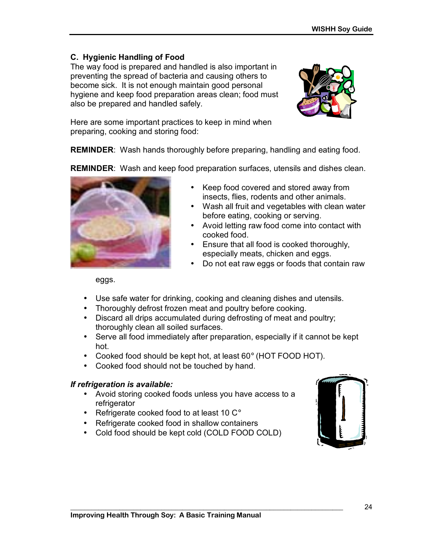# **C. Hygienic Handling of Food**

The way food is prepared and handled is also important in preventing the spread of bacteria and causing others to become sick. It is not enough maintain good personal hygiene and keep food preparation areas clean; food must also be prepared and handled safely.



Here are some important practices to keep in mind when preparing, cooking and storing food:

**REMINDER**: Wash hands thoroughly before preparing, handling and eating food.

**REMINDER**: Wash and keep food preparation surfaces, utensils and dishes clean.



- Keep food covered and stored away from insects, flies, rodents and other animals.
- Wash all fruit and vegetables with clean water before eating, cooking or serving.
- Avoid letting raw food come into contact with cooked food.
- Ensure that all food is cooked thoroughly, especially meats, chicken and eggs.
- Do not eat raw eggs or foods that contain raw

eggs.

- Use safe water for drinking, cooking and cleaning dishes and utensils.
- Thoroughly defrost frozen meat and poultry before cooking.
- Discard all drips accumulated during defrosting of meat and poultry; thoroughly clean all soiled surfaces.
- Serve all food immediately after preparation, especially if it cannot be kept hot.
- Cooked food should be kept hot, at least 60° (HOT FOOD HOT).
- Cooked food should not be touched by hand.

# *If refrigeration is available:*

- Avoid storing cooked foods unless you have access to a refrigerator
- Refrigerate cooked food to at least 10 C°
- Refrigerate cooked food in shallow containers
- Cold food should be kept cold (COLD FOOD COLD)

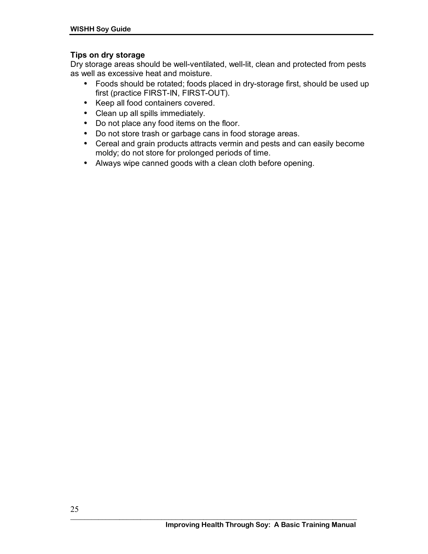# **Tips on dry storage**

Dry storage areas should be well-ventilated, well-lit, clean and protected from pests as well as excessive heat and moisture.

- Foods should be rotated; foods placed in dry-storage first, should be used up first (practice FIRST-IN, FIRST-OUT).
- Keep all food containers covered.
- Clean up all spills immediately.
- Do not place any food items on the floor.
- Do not store trash or garbage cans in food storage areas.
- Cereal and grain products attracts vermin and pests and can easily become moldy; do not store for prolonged periods of time.
- Always wipe canned goods with a clean cloth before opening.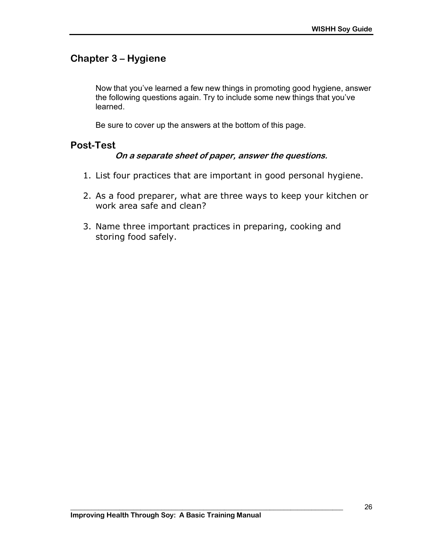# **Chapter 3 - Hygiene**

Now that you've learned a few new things in promoting good hygiene, answer the following questions again. Try to include some new things that you've learned.

Be sure to cover up the answers at the bottom of this page.

# **Post-Test**

### **On a separate sheet of paper, answer the questions.**

- 1. List four practices that are important in good personal hygiene.
- 2. As a food preparer, what are three ways to keep your kitchen or work area safe and clean?
- 3. Name three important practices in preparing, cooking and storing food safely.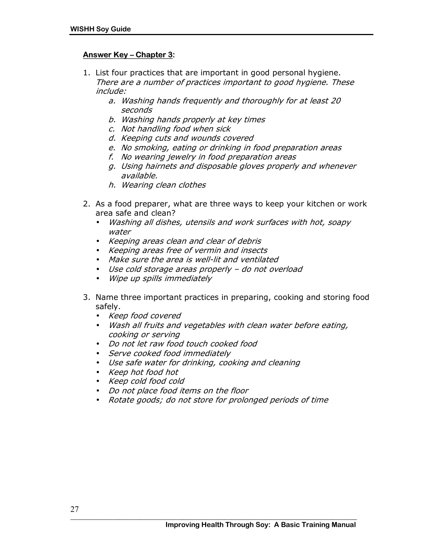#### **Answer Key - Chapter 3:**

- 1. List four practices that are important in good personal hygiene. There are a number of practices important to good hygiene. These include:
	- a. Washing hands frequently and thoroughly for at least 20 seconds
	- b. Washing hands properly at key times
	- c. Not handling food when sick
	- d. Keeping cuts and wounds covered
	- e. No smoking, eating or drinking in food preparation areas
	- f. No wearing jewelry in food preparation areas
	- g. Using hairnets and disposable gloves properly and whenever available.
	- h. Wearing clean clothes
- 2. As a food preparer, what are three ways to keep your kitchen or work area safe and clean?
	- Washing all dishes, utensils and work surfaces with hot, soapy water
	- Keeping areas clean and clear of debris
	- Keeping areas free of vermin and insects
	- Make sure the area is well-lit and ventilated
	- $\bullet$  Use cold storage areas properly  $-$  do not overload
	- Wipe up spills immediately
- 3. Name three important practices in preparing, cooking and storing food safely.
	- Keep food covered
	- Wash all fruits and vegetables with clean water before eating, cooking or serving
	- Do not let raw food touch cooked food
	- Serve cooked food immediately
	- Use safe water for drinking, cooking and cleaning
	- Keep hot food hot
	- Keep cold food cold
	- Do not place food items on the floor
	- Rotate goods; do not store for prolonged periods of time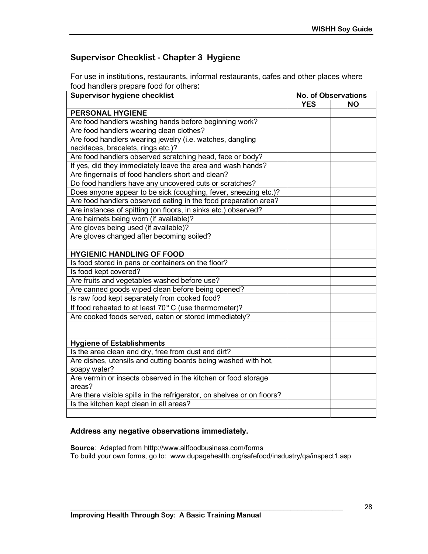# **Supervisor Checklist - Chapter 3 Hygiene**

For use in institutions, restaurants, informal restaurants, cafes and other places where food handlers prepare food for others**:** 

| <b>Supervisor hygiene checklist</b>                                    | <b>No. of Observations</b> |           |
|------------------------------------------------------------------------|----------------------------|-----------|
|                                                                        | <b>YES</b>                 | <b>NO</b> |
| PERSONAL HYGIENE                                                       |                            |           |
| Are food handlers washing hands before beginning work?                 |                            |           |
| Are food handlers wearing clean clothes?                               |                            |           |
| Are food handlers wearing jewelry (i.e. watches, dangling              |                            |           |
| necklaces, bracelets, rings etc.)?                                     |                            |           |
| Are food handlers observed scratching head, face or body?              |                            |           |
| If yes, did they immediately leave the area and wash hands?            |                            |           |
| Are fingernails of food handlers short and clean?                      |                            |           |
| Do food handlers have any uncovered cuts or scratches?                 |                            |           |
| Does anyone appear to be sick (coughing, fever, sneezing etc.)?        |                            |           |
| Are food handlers observed eating in the food preparation area?        |                            |           |
| Are instances of spitting (on floors, in sinks etc.) observed?         |                            |           |
| Are hairnets being worn (if available)?                                |                            |           |
| Are gloves being used (if available)?                                  |                            |           |
| Are gloves changed after becoming soiled?                              |                            |           |
|                                                                        |                            |           |
| <b>HYGIENIC HANDLING OF FOOD</b>                                       |                            |           |
| Is food stored in pans or containers on the floor?                     |                            |           |
| Is food kept covered?                                                  |                            |           |
| Are fruits and vegetables washed before use?                           |                            |           |
| Are canned goods wiped clean before being opened?                      |                            |           |
| Is raw food kept separately from cooked food?                          |                            |           |
| If food reheated to at least 70° C (use thermometer)?                  |                            |           |
| Are cooked foods served, eaten or stored immediately?                  |                            |           |
|                                                                        |                            |           |
|                                                                        |                            |           |
| <b>Hygiene of Establishments</b>                                       |                            |           |
| Is the area clean and dry, free from dust and dirt?                    |                            |           |
| Are dishes, utensils and cutting boards being washed with hot,         |                            |           |
| soapy water?                                                           |                            |           |
| Are vermin or insects observed in the kitchen or food storage          |                            |           |
| areas?                                                                 |                            |           |
| Are there visible spills in the refrigerator, on shelves or on floors? |                            |           |
| Is the kitchen kept clean in all areas?                                |                            |           |
|                                                                        |                            |           |

#### **Address any negative observations immediately.**

**Source**: Adapted from htttp://www.allfoodbusiness.com/forms To build your own forms, go to: www.dupagehealth.org/safefood/insdustry/qa/inspect1.asp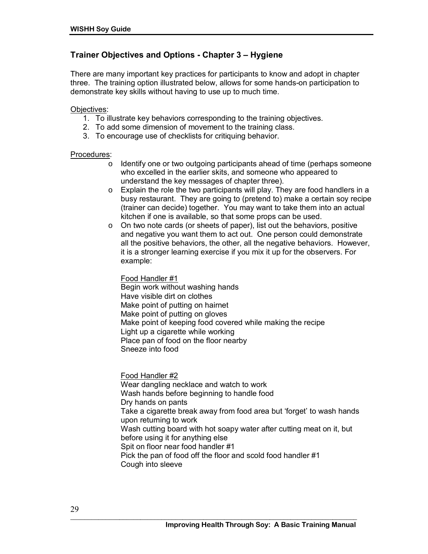# **Trainer Objectives and Options - Chapter 3 – Hygiene**

There are many important key practices for participants to know and adopt in chapter three. The training option illustrated below, allows for some hands-on participation to demonstrate key skills without having to use up to much time.

#### Objectives:

- 1. To illustrate key behaviors corresponding to the training objectives.
- 2. To add some dimension of movement to the training class.
- 3. To encourage use of checklists for critiquing behavior.

#### Procedures:

- $\circ$  Identify one or two outgoing participants ahead of time (perhaps someone who excelled in the earlier skits, and someone who appeared to understand the key messages of chapter three).
- o Explain the role the two participants will play. They are food handlers in a busy restaurant. They are going to (pretend to) make a certain soy recipe (trainer can decide) together. You may want to take them into an actual kitchen if one is available, so that some props can be used.
- o On two note cards (or sheets of paper), list out the behaviors, positive and negative you want them to act out. One person could demonstrate all the positive behaviors, the other, all the negative behaviors. However, it is a stronger learning exercise if you mix it up for the observers. For example:

Food Handler #1 Begin work without washing hands Have visible dirt on clothes Make point of putting on hairnet Make point of putting on gloves Make point of keeping food covered while making the recipe Light up a cigarette while working Place pan of food on the floor nearby

Sneeze into food

Food Handler #2 Wear dangling necklace and watch to work Wash hands before beginning to handle food Dry hands on pants Take a cigarette break away from food area but 'forget' to wash hands upon returning to work Wash cutting board with hot soapy water after cutting meat on it, but before using it for anything else Spit on floor near food handler #1 Pick the pan of food off the floor and scold food handler #1 Cough into sleeve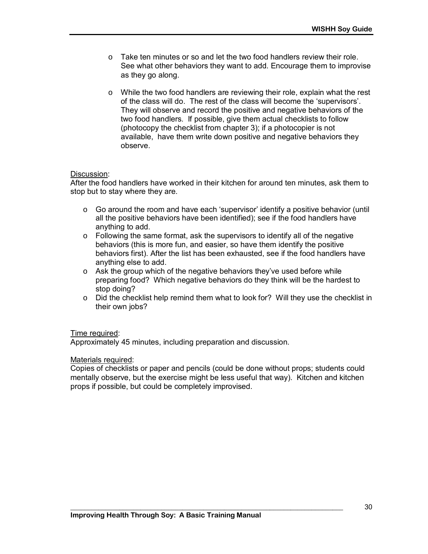- $\circ$  Take ten minutes or so and let the two food handlers review their role. See what other behaviors they want to add. Encourage them to improvise as they go along.
- $\circ$  While the two food handlers are reviewing their role, explain what the rest of the class will do. The rest of the class will become the 'supervisors'. They will observe and record the positive and negative behaviors of the two food handlers. If possible, give them actual checklists to follow (photocopy the checklist from chapter 3); if a photocopier is not available, have them write down positive and negative behaviors they observe.

#### Discussion:

After the food handlers have worked in their kitchen for around ten minutes, ask them to stop but to stay where they are.

- $\circ$  Go around the room and have each 'supervisor' identify a positive behavior (until all the positive behaviors have been identified); see if the food handlers have anything to add.
- o Following the same format, ask the supervisors to identify all of the negative behaviors (this is more fun, and easier, so have them identify the positive behaviors first). After the list has been exhausted, see if the food handlers have anything else to add.
- $\circ$  Ask the group which of the negative behaviors they've used before while preparing food? Which negative behaviors do they think will be the hardest to stop doing?
- $\circ$  Did the checklist help remind them what to look for? Will they use the checklist in their own jobs?

#### Time required:

Approximately 45 minutes, including preparation and discussion.

#### Materials required:

Copies of checklists or paper and pencils (could be done without props; students could mentally observe, but the exercise might be less useful that way). Kitchen and kitchen props if possible, but could be completely improvised.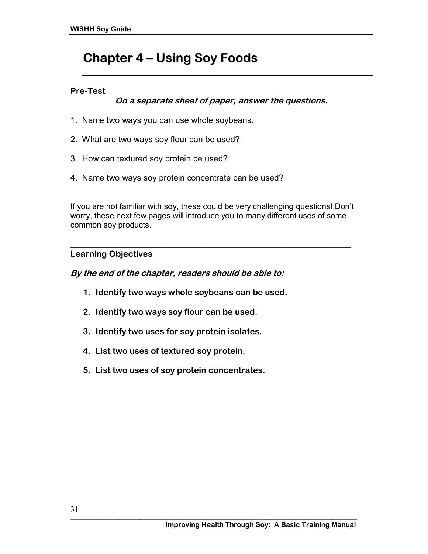# **Chapter 4 ñ Using Soy Foods**

### **Pre-Test**

**On a separate sheet of paper, answer the questions.** 

- 1. Name two ways you can use whole soybeans.
- 2. What are two ways soy flour can be used?
- 3. How can textured soy protein be used?
- 4. Name two ways soy protein concentrate can be used?

If you are not familiar with soy, these could be very challenging questions! Donít worry, these next few pages will introduce you to many different uses of some common soy products.

#### **\_\_\_\_\_\_\_\_\_\_\_\_\_\_\_\_\_\_\_\_\_\_\_\_\_\_\_\_\_\_\_\_\_\_\_\_\_\_\_\_\_\_\_\_\_\_\_\_\_\_\_\_\_\_\_\_\_\_\_\_\_\_\_\_\_\_\_ Learning Objectives**

**By the end of the chapter, readers should be able to:** 

- **1. Identify two ways whole soybeans can be used.**
- **2. Identify two ways soy flour can be used.**
- **3. Identify two uses for soy protein isolates.**
- **4. List two uses of textured soy protein.**
- **5. List two uses of soy protein concentrates.**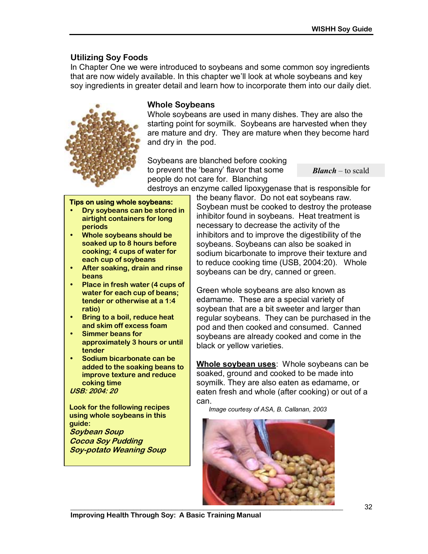# **Utilizing Soy Foods**

In Chapter One we were introduced to soybeans and some common soy ingredients that are now widely available. In this chapter we'll look at whole soybeans and key soy ingredients in greater detail and learn how to incorporate them into our daily diet.



#### **Whole Soybeans**

Whole soybeans are used in many dishes. They are also the starting point for soymilk. Soybeans are harvested when they are mature and dry. They are mature when they become hard and dry in the pod.

Soybeans are blanched before cooking to prevent the 'beany' flavor that some people do not care for. Blanching destroys an enzyme called lipoxygenase that is responsible for

*Blanch* – to scald

**Tips on using whole soybeans:**

- **Dry soybeans can be stored in airtight containers for long periods**
- **Whole soybeans should be soaked up to 8 hours before cooking; 4 cups of water for each cup of soybeans**
- **After soaking, drain and rinse beans**
- **Place in fresh water (4 cups of water for each cup of beans; tender or otherwise at a 1:4 ratio)**
- **Bring to a boil, reduce heat and skim off excess foam**
- **Simmer beans for approximately 3 hours or until tender**
- **Sodium bicarbonate can be added to the soaking beans to improve texture and reduce coking time USB: 2004: 20**

**Look for the following recipes using whole soybeans in this guide: Soybean Soup Cocoa Soy Pudding Soy-potato Weaning Soup** 

the beany flavor. Do not eat soybeans raw. Soybean must be cooked to destroy the protease inhibitor found in soybeans. Heat treatment is necessary to decrease the activity of the inhibitors and to improve the digestibility of the soybeans. Soybeans can also be soaked in sodium bicarbonate to improve their texture and to reduce cooking time (USB, 2004:20). Whole soybeans can be dry, canned or green.

Green whole soybeans are also known as edamame. These are a special variety of soybean that are a bit sweeter and larger than regular soybeans. They can be purchased in the pod and then cooked and consumed. Canned soybeans are already cooked and come in the black or yellow varieties.

**Whole soybean uses**: Whole soybeans can be soaked, ground and cooked to be made into soymilk. They are also eaten as edamame, or eaten fresh and whole (after cooking) or out of a can.

*Image courtesy of ASA, B. Callanan, 2003* 

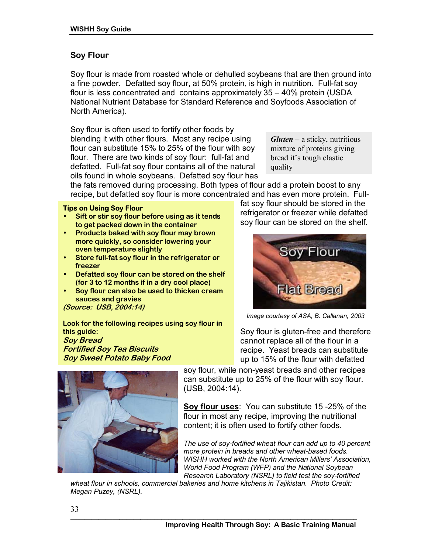### **Soy Flour**

Soy flour is made from roasted whole or dehulled soybeans that are then ground into a fine powder. Defatted soy flour, at 50% protein, is high in nutrition. Full-fat soy flour is less concentrated and contains approximately  $35 - 40\%$  protein (USDA) National Nutrient Database for Standard Reference and Soyfoods Association of North America).

Soy flour is often used to fortify other foods by blending it with other flours. Most any recipe using flour can substitute 15% to 25% of the flour with soy flour. There are two kinds of soy flour: full-fat and defatted. Full-fat soy flour contains all of the natural oils found in whole soybeans. Defatted soy flour has

*Gluten* – a sticky, nutritious mixture of proteins giving bread it's tough elastic quality

the fats removed during processing. Both types of flour add a protein boost to any recipe, but defatted soy flour is more concentrated and has even more protein. Full-

#### **Tips on Using Soy Flour**

- **Sift or stir soy flour before using as it tends to get packed down in the container**
- **Products baked with soy flour may brown more quickly, so consider lowering your oven temperature slightly**
- **Store full-fat soy flour in the refrigerator or freezer**
- **Defatted soy flour can be stored on the shelf (for 3 to 12 months if in a dry cool place)**
- **Soy flour can also be used to thicken cream sauces and gravies**

**(Source: USB, 2004:14)** 

**Look for the following recipes using soy flour in this guide: Soy Bread Fortified Soy Tea Biscuits Soy Sweet Potato Baby Food** 

fat soy flour should be stored in the refrigerator or freezer while defatted soy flour can be stored on the shelf.



*Image courtesy of ASA, B. Callanan, 2003* 

Soy flour is gluten-free and therefore cannot replace all of the flour in a recipe. Yeast breads can substitute up to 15% of the flour with defatted



soy flour, while non-yeast breads and other recipes can substitute up to 25% of the flour with soy flour. (USB, 2004:14).

**Soy flour uses**: You can substitute 15 -25% of the flour in most any recipe, improving the nutritional content; it is often used to fortify other foods.

*The use of soy-fortified wheat flour can add up to 40 percent more protein in breads and other wheat-based foods. WISHH worked with the North American Millers' Association, World Food Program (WFP) and the National Soybean Research Laboratory (NSRL) to field test the soy-fortified* 

*wheat flour in schools, commercial bakeries and home kitchens in Tajikistan. Photo Credit: Megan Puzey, (NSRL).*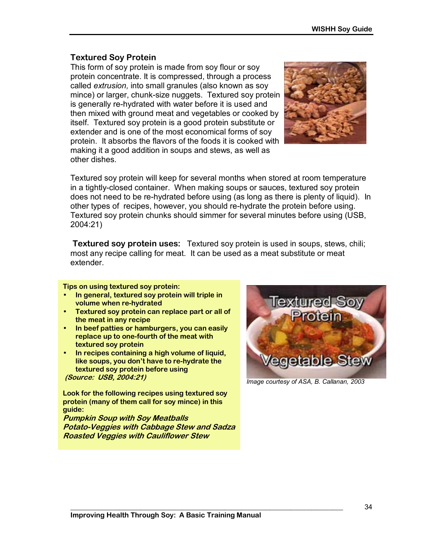# **Textured Soy Protein**

This form of soy protein is made from soy flour or soy protein concentrate. It is compressed, through a process called *extrusion,* into small granules (also known as soy mince) or larger, chunk-size nuggets. Textured soy protein is generally re-hydrated with water before it is used and then mixed with ground meat and vegetables or cooked by itself. Textured soy protein is a good protein substitute or extender and is one of the most economical forms of soy protein. It absorbs the flavors of the foods it is cooked with making it a good addition in soups and stews, as well as other dishes.



Textured soy protein will keep for several months when stored at room temperature in a tightly-closed container. When making soups or sauces, textured soy protein does not need to be re-hydrated before using (as long as there is plenty of liquid). In other types of recipes, however, you should re-hydrate the protein before using. Textured soy protein chunks should simmer for several minutes before using (USB, 2004:21)

 **Textured soy protein uses:** Textured soy protein is used in soups, stews, chili; most any recipe calling for meat. It can be used as a meat substitute or meat extender.

#### **Tips on using textured soy protein:**

- **In general, textured soy protein will triple in volume when re-hydrated**
- **Textured soy protein can replace part or all of the meat in any recipe**
- **In beef patties or hamburgers, you can easily replace up to one-fourth of the meat with textured soy protein**
- **In recipes containing a high volume of liquid,**  like soups, you don't have to re-hydrate the **textured soy protein before using (Source: USB, 2004:21)**

**Look for the following recipes using textured soy protein (many of them call for soy mince) in this guide:** 

**Pumpkin Soup with Soy Meatballs Potato-Veggies with Cabbage Stew and Sadza Roasted Veggies with Cauliflower Stew** 



*Image courtesy of ASA, B. Callanan, 2003*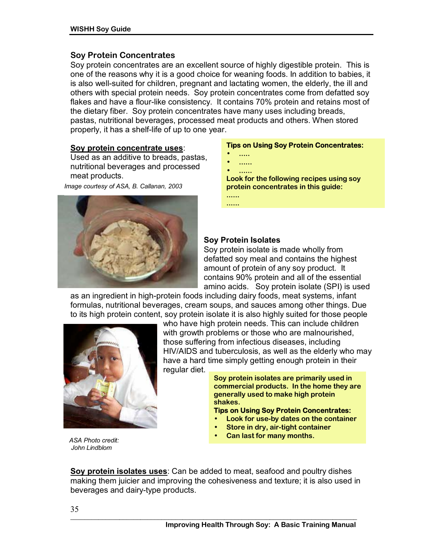#### **Soy Protein Concentrates**

Soy protein concentrates are an excellent source of highly digestible protein. This is one of the reasons why it is a good choice for weaning foods. In addition to babies, it is also well-suited for children, pregnant and lactating women, the elderly, the ill and others with special protein needs. Soy protein concentrates come from defatted soy flakes and have a flour-like consistency. It contains 70% protein and retains most of the dietary fiber. Soy protein concentrates have many uses including breads, pastas, nutritional beverages, processed meat products and others. When stored properly, it has a shelf-life of up to one year.

#### **Soy protein concentrate uses**:

Used as an additive to breads, pastas, nutritional beverages and processed meat products.

*Image courtesy of ASA, B. Callanan, 2003* 



#### **Tips on Using Soy Protein Concentrates:**

- **.....**
- **......**

• **...... Look for the following recipes using soy protein concentrates in this guide: ......** 

**......**

#### **Soy Protein Isolates**

Soy protein isolate is made wholly from defatted soy meal and contains the highest amount of protein of any soy product. It contains 90% protein and all of the essential amino acids. Soy protein isolate (SPI) is used

as an ingredient in high-protein foods including dairy foods, meat systems, infant formulas, nutritional beverages, cream soups, and sauces among other things. Due to its high protein content, soy protein isolate it is also highly suited for those people



who have high protein needs. This can include children with growth problems or those who are malnourished, those suffering from infectious diseases, including HIV/AIDS and tuberculosis, as well as the elderly who may have a hard time simply getting enough protein in their regular diet.

**Soy protein isolates are primarily used in commercial products. In the home they are generally used to make high protein shakes.** 

#### **Tips on Using Soy Protein Concentrates:**

- **Look for use-by dates on the container**
- **Store in dry, air-tight container**
- **Can last for many months.** *ASA Photo credit:*

 *John Lindblom* 

**Soy protein isolates uses**: Can be added to meat, seafood and poultry dishes making them juicier and improving the cohesiveness and texture; it is also used in beverages and dairy-type products.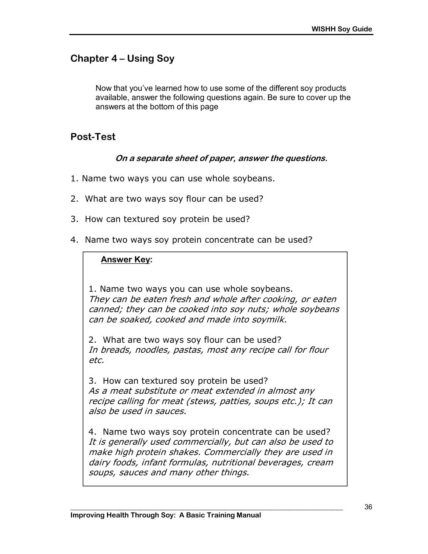# **Chapter 4 – Using Soy**

Now that you've learned how to use some of the different soy products available, answer the following questions again. Be sure to cover up the answers at the bottom of this page

# **Post-Test**

### **On a separate sheet of paper, answer the questions.**

- 1. Name two ways you can use whole soybeans.
- 2. What are two ways soy flour can be used?
- 3. How can textured soy protein be used?
- 4. Name two ways soy protein concentrate can be used?

### **Answer Key:**

1. Name two ways you can use whole soybeans. They can be eaten fresh and whole after cooking, or eaten canned; they can be cooked into soy nuts; whole soybeans can be soaked, cooked and made into soymilk.

2. What are two ways soy flour can be used? In breads, noodles, pastas, most any recipe call for flour etc.

3. How can textured soy protein be used? As a meat substitute or meat extended in almost any recipe calling for meat (stews, patties, soups etc.); It can also be used in sauces.

4. Name two ways soy protein concentrate can be used? It is generally used commercially, but can also be used to make high protein shakes. Commercially they are used in dairy foods, infant formulas, nutritional beverages, cream soups, sauces and many other things.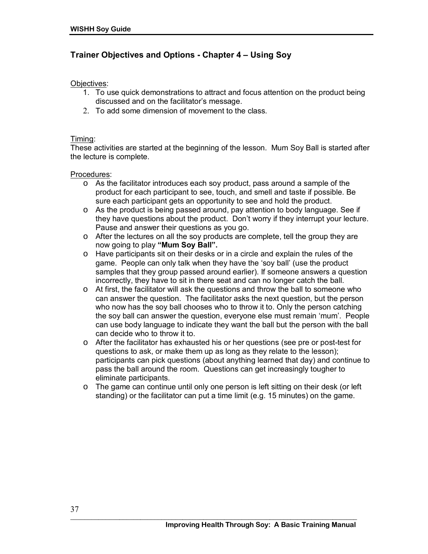### **Trainer Objectives and Options - Chapter 4 – Using Soy**

#### Objectives:

- 1. To use quick demonstrations to attract and focus attention on the product being discussed and on the facilitator's message.
- 2. To add some dimension of movement to the class.

#### Timing:

These activities are started at the beginning of the lesson. Mum Soy Ball is started after the lecture is complete.

#### Procedures:

- o As the facilitator introduces each soy product, pass around a sample of the product for each participant to see, touch, and smell and taste if possible. Be sure each participant gets an opportunity to see and hold the product.
- o As the product is being passed around, pay attention to body language. See if they have questions about the product. Donít worry if they interrupt your lecture. Pause and answer their questions as you go.
- $\circ$  After the lectures on all the soy products are complete, tell the group they are now going to play "Mum Soy Ball".
- o Have participants sit on their desks or in a circle and explain the rules of the game. People can only talk when they have the 'soy ball' (use the product samples that they group passed around earlier). If someone answers a question incorrectly, they have to sit in there seat and can no longer catch the ball.
- o At first, the facilitator will ask the questions and throw the ball to someone who can answer the question. The facilitator asks the next question, but the person who now has the soy ball chooses who to throw it to. Only the person catching the soy ball can answer the question, everyone else must remain 'mum'. People can use body language to indicate they want the ball but the person with the ball can decide who to throw it to.
- o After the facilitator has exhausted his or her questions (see pre or post-test for questions to ask, or make them up as long as they relate to the lesson); participants can pick questions (about anything learned that day) and continue to pass the ball around the room. Questions can get increasingly tougher to eliminate participants.
- $\circ$  The game can continue until only one person is left sitting on their desk (or left standing) or the facilitator can put a time limit (e.g. 15 minutes) on the game.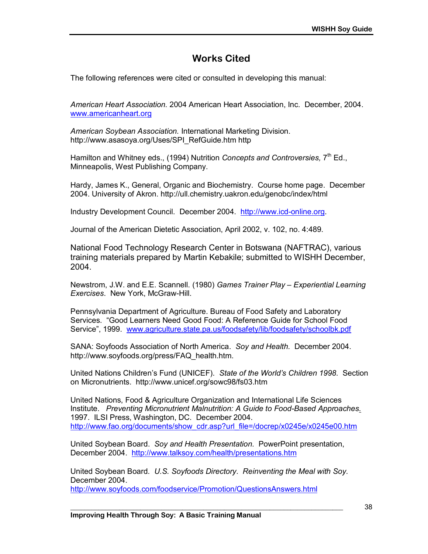# **Works Cited**

The following references were cited or consulted in developing this manual:

*American Heart Association.* 2004 American Heart Association, Inc. December, 2004. www.americanheart.org

*American Soybean Association.* International Marketing Division. http://www.asasoya.org/Uses/SPI\_RefGuide.htm http

Hamilton and Whitney eds., (1994) Nutrition *Concepts and Controversies,* 7th Ed., Minneapolis, West Publishing Company.

Hardy, James K., General, Organic and Biochemistry. Course home page. December 2004. University of Akron. http://ull.chemistry.uakron.edu/genobc/index/html

Industry Development Council. December 2004. http://www.icd-online.org.

Journal of the American Dietetic Association, April 2002, v. 102, no. 4:489.

National Food Technology Research Center in Botswana (NAFTRAC), various training materials prepared by Martin Kebakile; submitted to WISHH December, 2004.

Newstrom, J.W. and E.E. Scannell. (1980) *Games Trainer Play - Experiential Learning Exercises*. New York, McGraw-Hill.

Pennsylvania Department of Agriculture. Bureau of Food Safety and Laboratory Services. "Good Learners Need Good Food: A Reference Guide for School Food Service", 1999. www.agriculture.state.pa.us/foodsafety/lib/foodsafety/schoolbk.pdf

SANA: Soyfoods Association of North America. *Soy and Health.* December 2004. http://www.soyfoods.org/press/FAQ\_health.htm.

United Nations Childrenís Fund (UNICEF). *State of the Worldís Children 1998.* Section on Micronutrients. http://www.unicef.org/sowc98/fs03.htm

United Nations, Food & Agriculture Organization and International Life Sciences Institute. *Preventing Micronutrient Malnutrition: A Guide to Food-Based Approaches*. 1997. ILSI Press, Washington, DC. December 2004. http://www.fao.org/documents/show\_cdr.asp?url\_file=/docrep/x0245e/x0245e00.htm

United Soybean Board. *Soy and Health Presentation.* PowerPoint presentation, December 2004. http://www.talksoy.com/health/presentations.htm

United Soybean Board*. U.S. Soyfoods Directory*. *Reinventing the Meal with Soy.*  December 2004.

**\_\_\_\_\_\_\_\_\_\_\_\_\_\_\_\_\_\_\_\_\_\_\_\_\_\_\_\_\_\_\_\_\_\_\_\_\_\_\_\_\_\_\_\_\_\_\_\_\_\_\_\_\_\_\_\_\_\_\_\_\_\_\_\_\_\_\_\_\_\_\_\_\_\_\_\_\_\_** 

http://www.soyfoods.com/foodservice/Promotion/QuestionsAnswers.html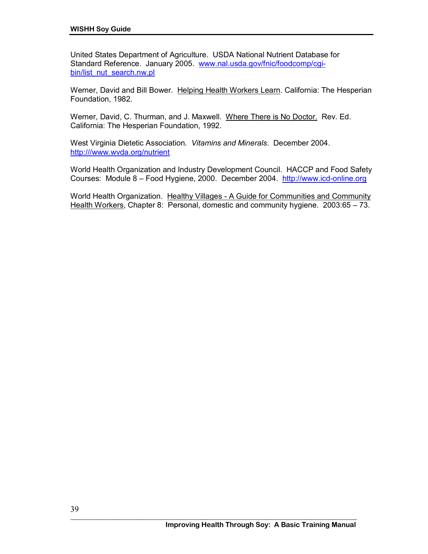United States Department of Agriculture. USDA National Nutrient Database for Standard Reference. January 2005. www.nal.usda.gov/fnic/foodcomp/cgibin/list\_nut\_search.nw.pl

Werner, David and Bill Bower. Helping Health Workers Learn. California: The Hesperian Foundation, 1982.

Werner, David, C. Thurman, and J. Maxwell. Where There is No Doctor. Rev. Ed. California: The Hesperian Foundation, 1992.

West Virginia Dietetic Association. *Vitamins and Minerals*. December 2004. http:///www.wvda.org/nutrient

World Health Organization and Industry Development Council. HACCP and Food Safety Courses: Module 8 – Food Hygiene, 2000. December 2004. http://www.icd-online.org

World Health Organization. Healthy Villages - A Guide for Communities and Community Health Workers, Chapter 8: Personal, domestic and community hygiene.  $2003:65 - 73$ .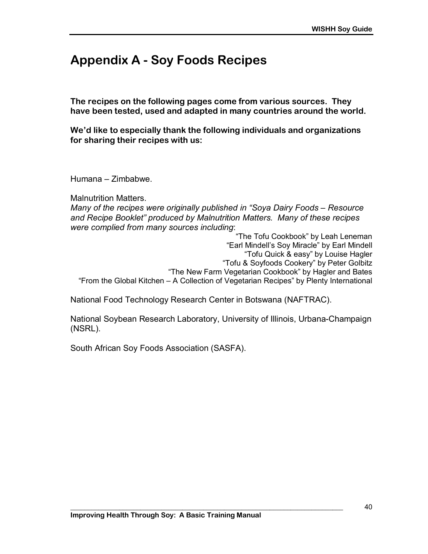# **Appendix A - Soy Foods Recipes**

**The recipes on the following pages come from various sources. They have been tested, used and adapted in many countries around the world.** 

**Weíd like to especially thank the following individuals and organizations for sharing their recipes with us:** 

 $Human - Zimbabwe.$ 

Malnutrition Matters.

*Many of the recipes were originally published in "Soya Dairy Foods – Resource and Recipe Bookletî produced by Malnutrition Matters. Many of these recipes were complied from many sources including*:

"The Tofu Cookbook" by Leah Leneman "Earl Mindell's Soy Miracle" by Earl Mindell "Tofu Quick & easy" by Louise Hagler "Tofu & Soyfoods Cookery" by Peter Golbitz "The New Farm Vegetarian Cookbook" by Hagler and Bates "From the Global Kitchen – A Collection of Vegetarian Recipes" by Plenty International

National Food Technology Research Center in Botswana (NAFTRAC).

National Soybean Research Laboratory, University of Illinois, Urbana-Champaign (NSRL).

South African Soy Foods Association (SASFA).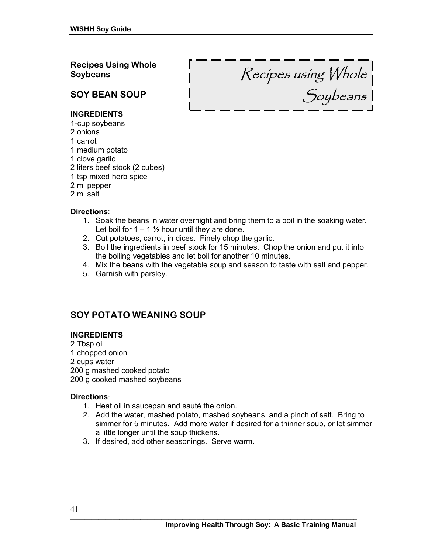**Recipes Using Whole Soybeans**

Recipes using Whole Soybeans

# **SOY BEAN SOUP**

#### **INGREDIENTS**

- 1-cup soybeans
- 2 onions
- 1 carrot
- 1 medium potato
- 1 clove garlic
- 2 liters beef stock (2 cubes)
- 1 tsp mixed herb spice
- 2 ml pepper
- 2 ml salt

#### **Directions**:

- 1. Soak the beans in water overnight and bring them to a boil in the soaking water. Let boil for  $1 - 1$   $\frac{1}{2}$  hour until they are done.
- 2. Cut potatoes, carrot, in dices. Finely chop the garlic.
- 3. Boil the ingredients in beef stock for 15 minutes. Chop the onion and put it into the boiling vegetables and let boil for another 10 minutes.
- 4. Mix the beans with the vegetable soup and season to taste with salt and pepper.
- 5. Garnish with parsley.

# **SOY POTATO WEANING SOUP**

#### **INGREDIENTS**

2 Tbsp oil 1 chopped onion 2 cups water 200 g mashed cooked potato 200 g cooked mashed soybeans

#### **Directions**:

- 1. Heat oil in saucepan and sauté the onion.
- 2. Add the water, mashed potato, mashed soybeans, and a pinch of salt. Bring to simmer for 5 minutes. Add more water if desired for a thinner soup, or let simmer a little longer until the soup thickens.
- 3. If desired, add other seasonings. Serve warm.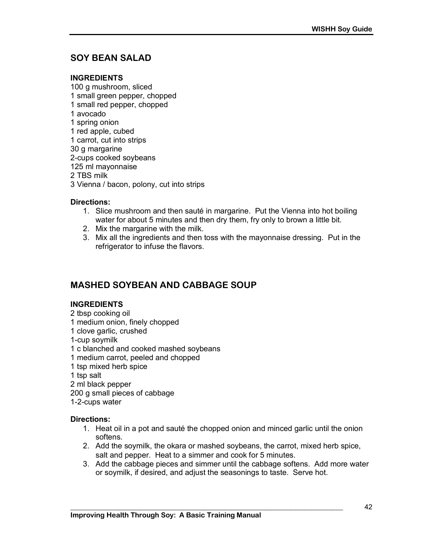# **SOY BEAN SALAD**

#### **INGREDIENTS**

100 g mushroom, sliced 1 small green pepper, chopped 1 small red pepper, chopped 1 avocado 1 spring onion 1 red apple, cubed 1 carrot, cut into strips 30 g margarine 2-cups cooked soybeans 125 ml mayonnaise 2 TBS milk 3 Vienna / bacon, polony, cut into strips

#### **Directions:**

- 1. Slice mushroom and then sauté in margarine. Put the Vienna into hot boiling water for about 5 minutes and then dry them, fry only to brown a little bit.
- 2. Mix the margarine with the milk.
- 3. Mix all the ingredients and then toss with the mayonnaise dressing. Put in the refrigerator to infuse the flavors.

# **MASHED SOYBEAN AND CABBAGE SOUP**

#### **INGREDIENTS**

- 2 tbsp cooking oil
- 1 medium onion, finely chopped
- 1 clove garlic, crushed
- 1-cup soymilk
- 1 c blanched and cooked mashed soybeans
- 1 medium carrot, peeled and chopped
- 1 tsp mixed herb spice
- 1 tsp salt
- 2 ml black pepper
- 200 g small pieces of cabbage

1-2-cups water

#### **Directions:**

- 1. Heat oil in a pot and sauté the chopped onion and minced garlic until the onion softens.
- 2. Add the soymilk, the okara or mashed soybeans, the carrot, mixed herb spice, salt and pepper. Heat to a simmer and cook for 5 minutes.

**\_\_\_\_\_\_\_\_\_\_\_\_\_\_\_\_\_\_\_\_\_\_\_\_\_\_\_\_\_\_\_\_\_\_\_\_\_\_\_\_\_\_\_\_\_\_\_\_\_\_\_\_\_\_\_\_\_\_\_\_\_\_\_\_\_\_\_\_\_\_\_\_\_\_\_\_\_\_** 

3. Add the cabbage pieces and simmer until the cabbage softens. Add more water or soymilk, if desired, and adjust the seasonings to taste. Serve hot.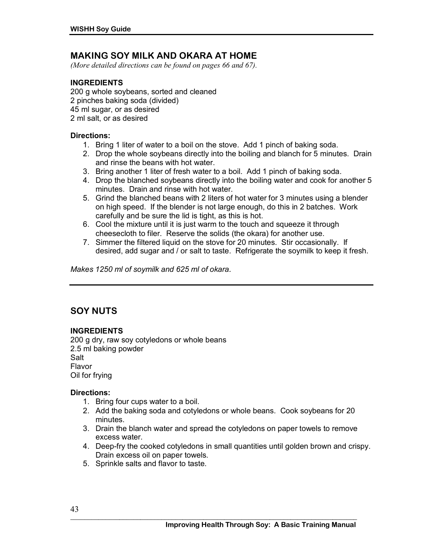### **MAKING SOY MILK AND OKARA AT HOME**

*(More detailed directions can be found on pages 66 and 67).* 

#### **INGREDIENTS**

200 g whole soybeans, sorted and cleaned 2 pinches baking soda (divided) 45 ml sugar, or as desired 2 ml salt, or as desired

#### **Directions:**

- 1. Bring 1 liter of water to a boil on the stove. Add 1 pinch of baking soda.
- 2. Drop the whole soybeans directly into the boiling and blanch for 5 minutes. Drain and rinse the beans with hot water.
- 3. Bring another 1 liter of fresh water to a boil. Add 1 pinch of baking soda.
- 4. Drop the blanched soybeans directly into the boiling water and cook for another 5 minutes. Drain and rinse with hot water.
- 5. Grind the blanched beans with 2 liters of hot water for 3 minutes using a blender on high speed. If the blender is not large enough, do this in 2 batches. Work carefully and be sure the lid is tight, as this is hot.
- 6. Cool the mixture until it is just warm to the touch and squeeze it through cheesecloth to filer. Reserve the solids (the okara) for another use.
- 7. Simmer the filtered liquid on the stove for 20 minutes. Stir occasionally. If desired, add sugar and / or salt to taste. Refrigerate the soymilk to keep it fresh.

*Makes 1250 ml of soymilk and 625 ml of okara.* 

# **SOY NUTS**

#### **INGREDIENTS**

200 g dry, raw soy cotyledons or whole beans 2.5 ml baking powder Salt Flavor Oil for frying

#### **Directions:**

- 1. Bring four cups water to a boil.
- 2. Add the baking soda and cotyledons or whole beans. Cook soybeans for 20 minutes.
- 3. Drain the blanch water and spread the cotyledons on paper towels to remove excess water.
- 4. Deep-fry the cooked cotyledons in small quantities until golden brown and crispy. Drain excess oil on paper towels.
- 5. Sprinkle salts and flavor to taste.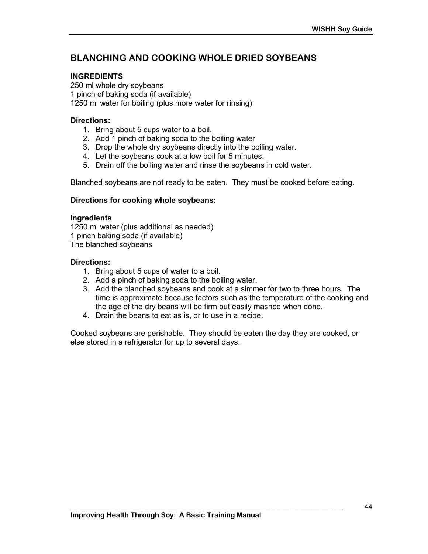# **BLANCHING AND COOKING WHOLE DRIED SOYBEANS**

#### **INGREDIENTS**

250 ml whole dry soybeans 1 pinch of baking soda (if available) 1250 ml water for boiling (plus more water for rinsing)

#### **Directions:**

- 1. Bring about 5 cups water to a boil.
- 2. Add 1 pinch of baking soda to the boiling water
- 3. Drop the whole dry soybeans directly into the boiling water.
- 4. Let the soybeans cook at a low boil for 5 minutes.
- 5. Drain off the boiling water and rinse the soybeans in cold water.

Blanched soybeans are not ready to be eaten. They must be cooked before eating.

#### **Directions for cooking whole soybeans:**

#### **Ingredients**

1250 ml water (plus additional as needed) 1 pinch baking soda (if available) The blanched soybeans

#### **Directions:**

- 1. Bring about 5 cups of water to a boil.
- 2. Add a pinch of baking soda to the boiling water.
- 3. Add the blanched soybeans and cook at a simmer for two to three hours. The time is approximate because factors such as the temperature of the cooking and the age of the dry beans will be firm but easily mashed when done.
- 4. Drain the beans to eat as is, or to use in a recipe.

Cooked soybeans are perishable. They should be eaten the day they are cooked, or else stored in a refrigerator for up to several days.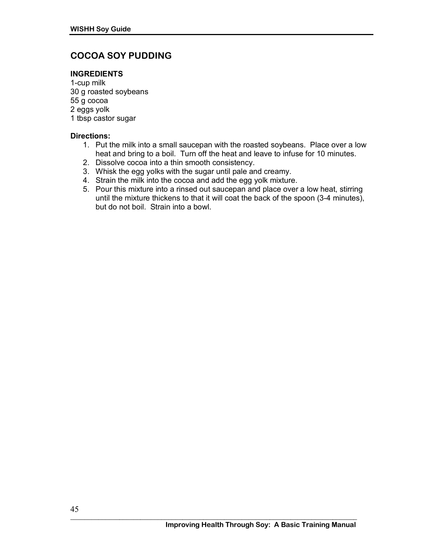# **COCOA SOY PUDDING**

#### **INGREDIENTS**

1-cup milk 30 g roasted soybeans 55 g cocoa 2 eggs yolk 1 tbsp castor sugar

#### **Directions:**

- 1. Put the milk into a small saucepan with the roasted soybeans. Place over a low heat and bring to a boil. Turn off the heat and leave to infuse for 10 minutes.
- 2. Dissolve cocoa into a thin smooth consistency.
- 3. Whisk the egg yolks with the sugar until pale and creamy.
- 4. Strain the milk into the cocoa and add the egg yolk mixture.
- 5. Pour this mixture into a rinsed out saucepan and place over a low heat, stirring until the mixture thickens to that it will coat the back of the spoon (3-4 minutes), but do not boil. Strain into a bowl.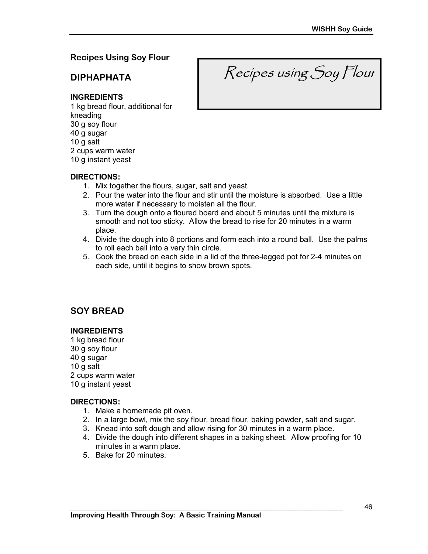### **Recipes Using Soy Flour**

**DIPHAPHATA** 

Recipes using Soy Flour

#### **INGREDIENTS**

1 kg bread flour, additional for kneading 30 g soy flour 40 g sugar 10 g salt 2 cups warm water 10 g instant yeast

#### **DIRECTIONS:**

- 1. Mix together the flours, sugar, salt and yeast.
- 2. Pour the water into the flour and stir until the moisture is absorbed. Use a little more water if necessary to moisten all the flour.
- 3. Turn the dough onto a floured board and about 5 minutes until the mixture is smooth and not too sticky. Allow the bread to rise for 20 minutes in a warm place.
- 4. Divide the dough into 8 portions and form each into a round ball. Use the palms to roll each ball into a very thin circle.
- 5. Cook the bread on each side in a lid of the three-legged pot for 2-4 minutes on each side, until it begins to show brown spots.

# **SOY BREAD**

#### **INGREDIENTS**

1 kg bread flour 30 g soy flour 40 g sugar 10 g salt 2 cups warm water 10 g instant yeast

#### **DIRECTIONS:**

- 1. Make a homemade pit oven.
- 2. In a large bowl, mix the soy flour, bread flour, baking powder, salt and sugar.
- 3. Knead into soft dough and allow rising for 30 minutes in a warm place.

- 4. Divide the dough into different shapes in a baking sheet. Allow proofing for 10 minutes in a warm place.
- 5. Bake for 20 minutes.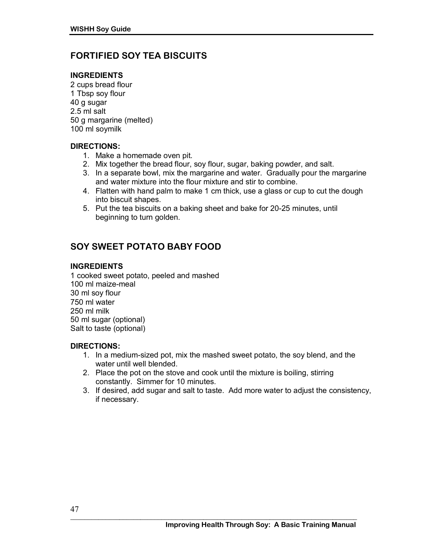# **FORTIFIED SOY TEA BISCUITS**

#### **INGREDIENTS**

2 cups bread flour 1 Tbsp soy flour 40 g sugar 2.5 ml salt 50 g margarine (melted) 100 ml soymilk

#### **DIRECTIONS:**

- 1. Make a homemade oven pit.
- 2. Mix together the bread flour, soy flour, sugar, baking powder, and salt.
- 3. In a separate bowl, mix the margarine and water. Gradually pour the margarine and water mixture into the flour mixture and stir to combine.
- 4. Flatten with hand palm to make 1 cm thick, use a glass or cup to cut the dough into biscuit shapes.
- 5. Put the tea biscuits on a baking sheet and bake for 20-25 minutes, until beginning to turn golden.

# **SOY SWEET POTATO BABY FOOD**

#### **INGREDIENTS**

1 cooked sweet potato, peeled and mashed 100 ml maize-meal 30 ml soy flour 750 ml water 250 ml milk 50 ml sugar (optional) Salt to taste (optional)

#### **DIRECTIONS:**

- 1. In a medium-sized pot, mix the mashed sweet potato, the soy blend, and the water until well blended.
- 2. Place the pot on the stove and cook until the mixture is boiling, stirring constantly. Simmer for 10 minutes.
- 3. If desired, add sugar and salt to taste. Add more water to adjust the consistency, if necessary.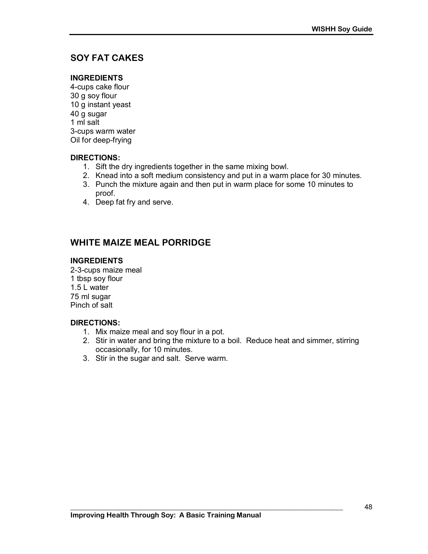# **SOY FAT CAKES**

#### **INGREDIENTS**

4-cups cake flour 30 g soy flour 10 g instant yeast 40 g sugar 1 ml salt 3-cups warm water Oil for deep-frying

#### **DIRECTIONS:**

- 1. Sift the dry ingredients together in the same mixing bowl.
- 2. Knead into a soft medium consistency and put in a warm place for 30 minutes.
- 3. Punch the mixture again and then put in warm place for some 10 minutes to proof.
- 4. Deep fat fry and serve.

# **WHITE MAIZE MEAL PORRIDGE**

#### **INGREDIENTS**

2-3-cups maize meal 1 tbsp soy flour 1.5 L water 75 ml sugar Pinch of salt

#### **DIRECTIONS:**

- 1. Mix maize meal and soy flour in a pot.
- 2. Stir in water and bring the mixture to a boil. Reduce heat and simmer, stirring occasionally, for 10 minutes.
- 3. Stir in the sugar and salt. Serve warm.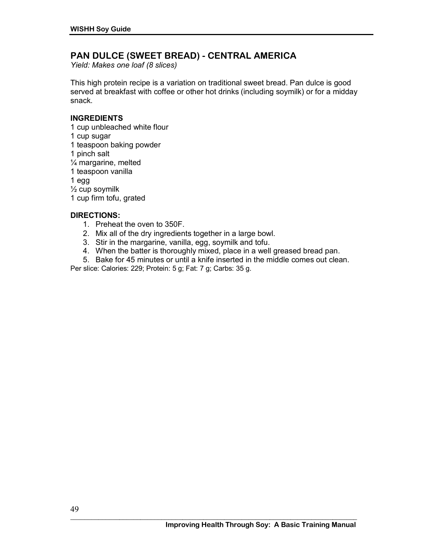### **PAN DULCE (SWEET BREAD) - CENTRAL AMERICA**

*Yield: Makes one loaf (8 slices)*

This high protein recipe is a variation on traditional sweet bread. Pan dulce is good served at breakfast with coffee or other hot drinks (including soymilk) or for a midday snack.

#### **INGREDIENTS**

1 cup unbleached white flour 1 cup sugar 1 teaspoon baking powder 1 pinch salt  $\frac{1}{4}$  margarine, melted 1 teaspoon vanilla 1 egg ½ cup soymilk

1 cup firm tofu, grated

#### **DIRECTIONS:**

- 1. Preheat the oven to 350F.
- 2. Mix all of the dry ingredients together in a large bowl.
- 3. Stir in the margarine, vanilla, egg, soymilk and tofu.
- 4. When the batter is thoroughly mixed, place in a well greased bread pan.
- 5. Bake for 45 minutes or until a knife inserted in the middle comes out clean.

Per slice: Calories: 229; Protein: 5 g; Fat: 7 g; Carbs: 35 g.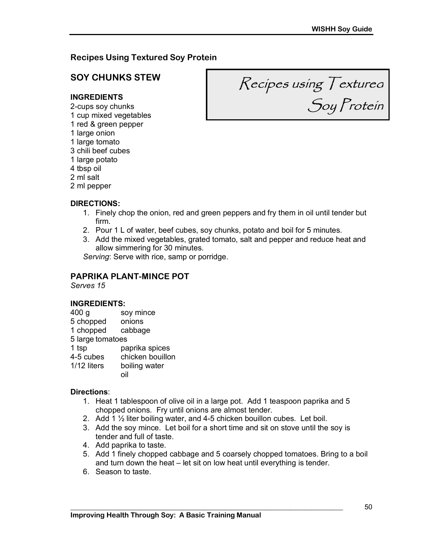### **Recipes Using Textured Soy Protein**

# **SOY CHUNKS STEW**

#### **INGREDIENTS**

2-cups soy chunks 1 cup mixed vegetables 1 red & green pepper 1 large onion 1 large tomato 3 chili beef cubes 1 large potato 4 tbsp oil 2 ml salt 2 ml pepper

Recipes using Textured Soy Protein

#### **DIRECTIONS:**

- 1. Finely chop the onion, red and green peppers and fry them in oil until tender but firm.
- 2. Pour 1 L of water, beef cubes, soy chunks, potato and boil for 5 minutes.
- 3. Add the mixed vegetables, grated tomato, salt and pepper and reduce heat and allow simmering for 30 minutes.

*Serving*: Serve with rice, samp or porridge.

#### **PAPRIKA PLANT-MINCE POT**

*Serves 15* 

#### **INGREDIENTS:**

- 400 g soy mince
- 5 chopped onions
- 1 chopped cabbage
- 5 large tomatoes
- 1 tsp paprika spices
- 4-5 cubes chicken bouillon
- 1/12 liters boiling water
	- oil

#### **Directions**:

- 1. Heat 1 tablespoon of olive oil in a large pot. Add 1 teaspoon paprika and 5 chopped onions. Fry until onions are almost tender.
- 2. Add 1 ½ liter boiling water, and 4-5 chicken bouillon cubes. Let boil.

- 3. Add the soy mince. Let boil for a short time and sit on stove until the soy is tender and full of taste.
- 4. Add paprika to taste.
- 5. Add 1 finely chopped cabbage and 5 coarsely chopped tomatoes. Bring to a boil and turn down the heat  $-$  let sit on low heat until everything is tender.
- 6. Season to taste.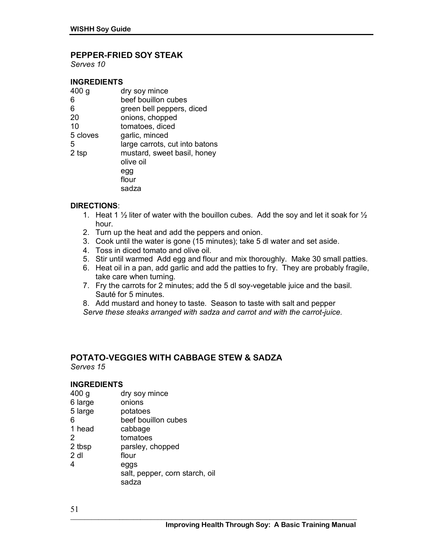#### **PEPPER-FRIED SOY STEAK**

*Serves 10* 

#### **INGREDIENTS**

| 400 g    | dry soy mince                  |
|----------|--------------------------------|
| 6        | beef bouillon cubes            |
| 6        | green bell peppers, diced      |
| 20       | onions, chopped                |
| 10       | tomatoes, diced                |
| 5 cloves | garlic, minced                 |
| 5        | large carrots, cut into batons |
| 2 tsp    | mustard, sweet basil, honey    |
|          | olive oil                      |
|          | egg                            |
|          | flour                          |
|          | sadza                          |

#### **DIRECTIONS**:

- 1. Heat 1  $\frac{1}{2}$  liter of water with the bouillon cubes. Add the soy and let it soak for  $\frac{1}{2}$ hour.
- 2. Turn up the heat and add the peppers and onion.
- 3. Cook until the water is gone (15 minutes); take 5 dl water and set aside.
- 4. Toss in diced tomato and olive oil.
- 5. Stir until warmed Add egg and flour and mix thoroughly. Make 30 small patties.
- 6. Heat oil in a pan, add garlic and add the patties to fry. They are probably fragile, take care when turning.
- 7. Fry the carrots for 2 minutes; add the 5 dl soy-vegetable juice and the basil. Sauté for 5 minutes.
- 8. Add mustard and honey to taste. Season to taste with salt and pepper
- *Serve these steaks arranged with sadza and carrot and with the carrot-juice.*

#### **POTATO-VEGGIES WITH CABBAGE STEW & SADZA**  *Serves 15*

#### **INGREDIENTS**

- 400 g dry soy mince
- 6 large onions
- 5 large potatoes
- 6 beef bouillon cubes
- 1 head cabbage
- 2 tomatoes
- 2 tbsp parsley, chopped
- 2 dl flour
- 4 eggs
	- salt, pepper, corn starch, oil sadza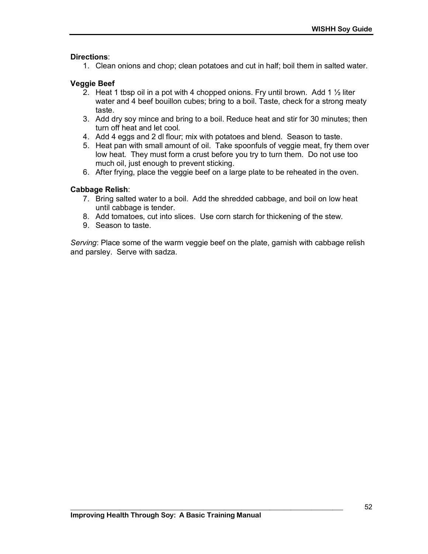#### **Directions**:

1. Clean onions and chop; clean potatoes and cut in half; boil them in salted water.

#### **Veggie Beef**

- 2. Heat 1 tbsp oil in a pot with 4 chopped onions. Fry until brown. Add 1  $\frac{1}{2}$  liter water and 4 beef bouillon cubes; bring to a boil. Taste, check for a strong meaty taste.
- 3. Add dry soy mince and bring to a boil. Reduce heat and stir for 30 minutes; then turn off heat and let cool.
- 4. Add 4 eggs and 2 dl flour; mix with potatoes and blend. Season to taste.
- 5. Heat pan with small amount of oil. Take spoonfuls of veggie meat, fry them over low heat. They must form a crust before you try to turn them. Do not use too much oil, just enough to prevent sticking.
- 6. After frying, place the veggie beef on a large plate to be reheated in the oven.

#### **Cabbage Relish**:

- 7. Bring salted water to a boil. Add the shredded cabbage, and boil on low heat until cabbage is tender.
- 8. Add tomatoes, cut into slices. Use corn starch for thickening of the stew.
- 9. Season to taste.

*Serving*: Place some of the warm veggie beef on the plate, garnish with cabbage relish and parsley. Serve with sadza.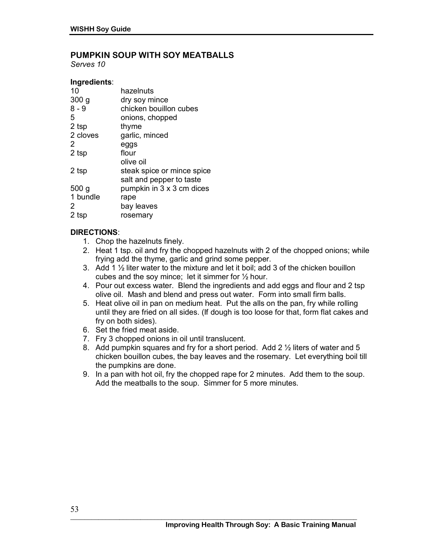### **PUMPKIN SOUP WITH SOY MEATBALLS**

*Serves 10* 

#### **Ingredients**:

| 10       | hazelnuts                  |
|----------|----------------------------|
| 300 g    | dry soy mince              |
| 8 - 9    | chicken bouillon cubes     |
| 5        | onions, chopped            |
| 2 tsp    | thyme                      |
| 2 cloves | garlic, minced             |
| 2        | eggs                       |
| 2 tsp    | flour                      |
|          | olive oil                  |
| 2 tsp    | steak spice or mince spice |
|          | salt and pepper to taste   |
| 500 g    | pumpkin in 3 x 3 cm dices  |
| 1 bundle | rape                       |
| 2        | bay leaves                 |
| 2 tsp    | rosemary                   |
|          |                            |

#### **DIRECTIONS**:

- 1. Chop the hazelnuts finely.
- 2. Heat 1 tsp. oil and fry the chopped hazelnuts with 2 of the chopped onions; while frying add the thyme, garlic and grind some pepper.
- 3. Add 1 ½ liter water to the mixture and let it boil; add 3 of the chicken bouillon cubes and the soy mince; let it simmer for ½ hour.
- 4. Pour out excess water. Blend the ingredients and add eggs and flour and 2 tsp olive oil. Mash and blend and press out water. Form into small firm balls.
- 5. Heat olive oil in pan on medium heat. Put the alls on the pan, fry while rolling until they are fried on all sides. (If dough is too loose for that, form flat cakes and fry on both sides).
- 6. Set the fried meat aside.
- 7. Fry 3 chopped onions in oil until translucent.
- 8. Add pumpkin squares and fry for a short period. Add 2 ½ liters of water and 5 chicken bouillon cubes, the bay leaves and the rosemary. Let everything boil till the pumpkins are done.
- 9. In a pan with hot oil, fry the chopped rape for 2 minutes. Add them to the soup. Add the meatballs to the soup. Simmer for 5 more minutes.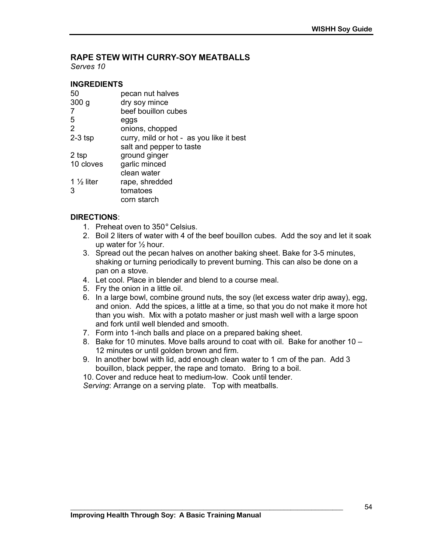# **RAPE STEW WITH CURRY-SOY MEATBALLS**

*Serves 10* 

#### **INGREDIENTS**

| 50                    | pecan nut halves                         |
|-----------------------|------------------------------------------|
| 300 <sub>g</sub>      | dry soy mince                            |
| 7                     | beef bouillon cubes                      |
| 5                     | eggs                                     |
| 2                     | onions, chopped                          |
| $2-3$ tsp             | curry, mild or hot - as you like it best |
|                       | salt and pepper to taste                 |
| 2 tsp                 | ground ginger                            |
| 10 cloves             | garlic minced                            |
|                       | clean water                              |
| 1 $\frac{1}{2}$ liter | rape, shredded                           |
| 3                     | tomatoes                                 |
|                       | corn starch                              |
|                       |                                          |

#### **DIRECTIONS**:

- 1. Preheat oven to 350° Celsius.
- 2. Boil 2 liters of water with 4 of the beef bouillon cubes. Add the soy and let it soak up water for ½ hour.
- 3. Spread out the pecan halves on another baking sheet. Bake for 3-5 minutes, shaking or turning periodically to prevent burning. This can also be done on a pan on a stove.
- 4. Let cool. Place in blender and blend to a course meal.
- 5. Fry the onion in a little oil.
- 6. In a large bowl, combine ground nuts, the soy (let excess water drip away), egg, and onion. Add the spices, a little at a time, so that you do not make it more hot than you wish. Mix with a potato masher or just mash well with a large spoon and fork until well blended and smooth.
- 7. Form into 1-inch balls and place on a prepared baking sheet.
- 8. Bake for 10 minutes. Move balls around to coat with oil. Bake for another  $10 -$ 12 minutes or until golden brown and firm.
- 9. In another bowl with lid, add enough clean water to 1 cm of the pan. Add 3 bouillon, black pepper, the rape and tomato. Bring to a boil.

**\_\_\_\_\_\_\_\_\_\_\_\_\_\_\_\_\_\_\_\_\_\_\_\_\_\_\_\_\_\_\_\_\_\_\_\_\_\_\_\_\_\_\_\_\_\_\_\_\_\_\_\_\_\_\_\_\_\_\_\_\_\_\_\_\_\_\_\_\_\_\_\_\_\_\_\_\_\_** 

10. Cover and reduce heat to medium-low. Cook until tender.

*Serving*: Arrange on a serving plate. Top with meatballs.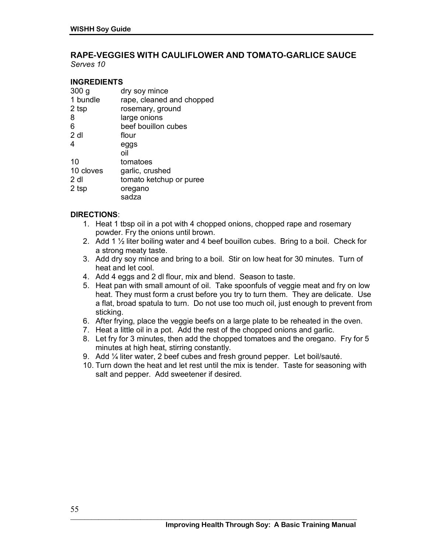#### **RAPE-VEGGIES WITH CAULIFLOWER AND TOMATO-GARLICE SAUCE**  *Serves 10*

**INGREDIENTS**

| 300 <sub>g</sub> | dry soy mince             |
|------------------|---------------------------|
| 1 bundle         | rape, cleaned and chopped |
| 2 tsp            | rosemary, ground          |
| 8                | large onions              |
| 6                | beef bouillon cubes       |
| 2 dl             | flour                     |
| 4                | eggs                      |
|                  | nil                       |
| 10               | tomatoes                  |
| 10 cloves        | garlic, crushed           |
| 2 dl             | tomato ketchup or puree   |
| 2 tsp            | oregano                   |
|                  | sadza                     |

#### **DIRECTIONS**:

- 1. Heat 1 tbsp oil in a pot with 4 chopped onions, chopped rape and rosemary powder. Fry the onions until brown.
- 2. Add 1  $\frac{1}{2}$  liter boiling water and 4 beef bouillon cubes. Bring to a boil. Check for a strong meaty taste.
- 3. Add dry soy mince and bring to a boil. Stir on low heat for 30 minutes. Turn of heat and let cool.
- 4. Add 4 eggs and 2 dl flour, mix and blend. Season to taste.
- 5. Heat pan with small amount of oil. Take spoonfuls of veggie meat and fry on low heat. They must form a crust before you try to turn them. They are delicate. Use a flat, broad spatula to turn. Do not use too much oil, just enough to prevent from sticking.
- 6. After frying, place the veggie beefs on a large plate to be reheated in the oven.
- 7. Heat a little oil in a pot. Add the rest of the chopped onions and garlic.
- 8. Let fry for 3 minutes, then add the chopped tomatoes and the oregano. Fry for 5 minutes at high heat, stirring constantly.
- 9. Add 1/4 liter water, 2 beef cubes and fresh ground pepper. Let boil/sauté.
- 10. Turn down the heat and let rest until the mix is tender. Taste for seasoning with salt and pepper. Add sweetener if desired.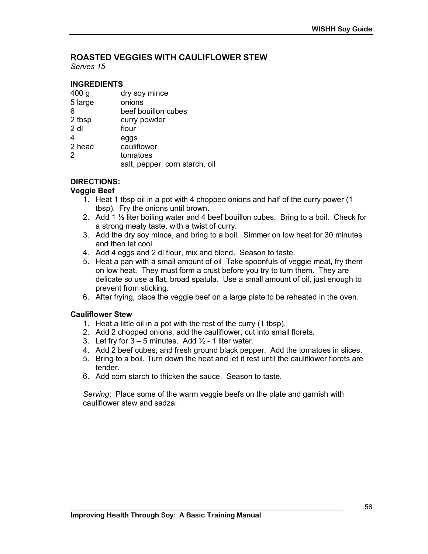# **ROASTED VEGGIES WITH CAULIFLOWER STEW**

*Serves 15*

#### **INGREDIENTS**

| dry soy mince                  |
|--------------------------------|
| onions                         |
| beef bouillon cubes            |
| curry powder                   |
| flour                          |
| eggs                           |
| cauliflower                    |
| tomatoes                       |
| salt, pepper, corn starch, oil |
|                                |

#### **DIRECTIONS:**

#### **Veggie Beef**

- 1. Heat 1 tbsp oil in a pot with 4 chopped onions and half of the curry power (1 tbsp). Fry the onions until brown.
- 2. Add 1  $\frac{1}{2}$  liter boiling water and 4 beef bouillon cubes. Bring to a boil. Check for a strong meaty taste, with a twist of curry.
- 3. Add the dry soy mince, and bring to a boil. Simmer on low heat for 30 minutes and then let cool.
- 4. Add 4 eggs and 2 dl flour, mix and blend. Season to taste.
- 5. Heat a pan with a small amount of oil Take spoonfuls of veggie meat, fry them on low heat. They must form a crust before you try to turn them. They are delicate so use a flat, broad spatula. Use a small amount of oil, just enough to prevent from sticking.
- 6. After frying, place the veggie beef on a large plate to be reheated in the oven.

#### **Cauliflower Stew**

- 1. Heat a little oil in a pot with the rest of the curry (1 tbsp).
- 2. Add 2 chopped onions, add the cauliflower, cut into small florets.
- 3. Let fry for  $3 5$  minutes. Add  $\frac{1}{2}$  1 liter water.
- 4. Add 2 beef cubes, and fresh ground black pepper. Add the tomatoes in slices.
- 5. Bring to a boil. Turn down the heat and let it rest until the cauliflower florets are tender.
- 6. Add corn starch to thicken the sauce. Season to taste.

*Serving*: Place some of the warm veggie beefs on the plate and garnish with cauliflower stew and sadza.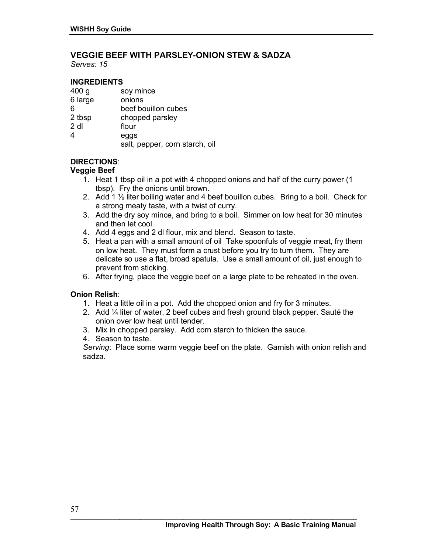# **VEGGIE BEEF WITH PARSLEY-ONION STEW & SADZA**

*Serves: 15* 

#### **INGREDIENTS**

| 400 <sub>g</sub> | soy mince                      |
|------------------|--------------------------------|
| 6 large          | onions                         |
| 6                | beef bouillon cubes            |
| 2 tbsp           | chopped parsley                |
| $2$ dl           | flour                          |
| 4                | eggs                           |
|                  | salt, pepper, corn starch, oil |

### **DIRECTIONS**:

#### **Veggie Beef**

- 1. Heat 1 tbsp oil in a pot with 4 chopped onions and half of the curry power (1 tbsp). Fry the onions until brown.
- 2. Add 1 ½ liter boiling water and 4 beef bouillon cubes. Bring to a boil. Check for a strong meaty taste, with a twist of curry.
- 3. Add the dry soy mince, and bring to a boil. Simmer on low heat for 30 minutes and then let cool.
- 4. Add 4 eggs and 2 dl flour, mix and blend. Season to taste.
- 5. Heat a pan with a small amount of oil Take spoonfuls of veggie meat, fry them on low heat. They must form a crust before you try to turn them. They are delicate so use a flat, broad spatula. Use a small amount of oil, just enough to prevent from sticking.
- 6. After frying, place the veggie beef on a large plate to be reheated in the oven.

#### **Onion Relish**:

- 1. Heat a little oil in a pot. Add the chopped onion and fry for 3 minutes.
- 2. Add  $\frac{1}{4}$  liter of water, 2 beef cubes and fresh ground black pepper. Sauté the onion over low heat until tender.
- 3. Mix in chopped parsley. Add corn starch to thicken the sauce.
- 4. Season to taste.

*Serving*: Place some warm veggie beef on the plate. Garnish with onion relish and sadza.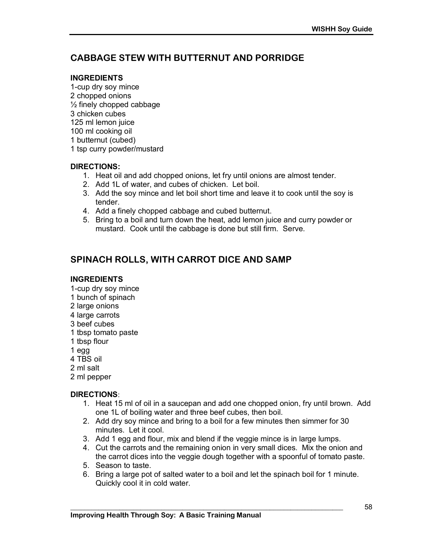# **CABBAGE STEW WITH BUTTERNUT AND PORRIDGE**

#### **INGREDIENTS**

- 1-cup dry soy mince 2 chopped onions  $\frac{1}{2}$  finely chopped cabbage 3 chicken cubes 125 ml lemon juice
- 100 ml cooking oil
- 1 butternut (cubed)
- 1 tsp curry powder/mustard

#### **DIRECTIONS:**

- 1. Heat oil and add chopped onions, let fry until onions are almost tender.
- 2. Add 1L of water, and cubes of chicken. Let boil.
- 3. Add the soy mince and let boil short time and leave it to cook until the soy is tender.
- 4. Add a finely chopped cabbage and cubed butternut.
- 5. Bring to a boil and turn down the heat, add lemon juice and curry powder or mustard. Cook until the cabbage is done but still firm. Serve.

# **SPINACH ROLLS, WITH CARROT DICE AND SAMP**

#### **INGREDIENTS**

- 1-cup dry soy mince
- 1 bunch of spinach
- 2 large onions
- 4 large carrots
- 3 beef cubes
- 1 tbsp tomato paste
- 1 tbsp flour
- 1 egg
- 4 TBS oil
- 2 ml salt
- 2 ml pepper

#### **DIRECTIONS**:

- 1. Heat 15 ml of oil in a saucepan and add one chopped onion, fry until brown. Add one 1L of boiling water and three beef cubes, then boil.
- 2. Add dry soy mince and bring to a boil for a few minutes then simmer for 30 minutes. Let it cool.
- 3. Add 1 egg and flour, mix and blend if the veggie mince is in large lumps.

- 4. Cut the carrots and the remaining onion in very small dices. Mix the onion and the carrot dices into the veggie dough together with a spoonful of tomato paste.
- 5. Season to taste.
- 6. Bring a large pot of salted water to a boil and let the spinach boil for 1 minute. Quickly cool it in cold water.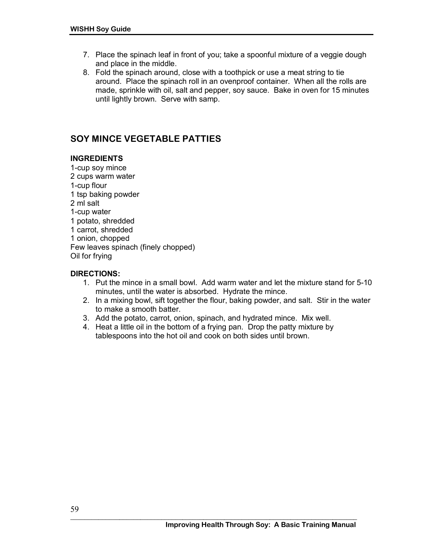- 7. Place the spinach leaf in front of you; take a spoonful mixture of a veggie dough and place in the middle.
- 8. Fold the spinach around, close with a toothpick or use a meat string to tie around. Place the spinach roll in an ovenproof container. When all the rolls are made, sprinkle with oil, salt and pepper, soy sauce. Bake in oven for 15 minutes until lightly brown. Serve with samp.

# **SOY MINCE VEGETABLE PATTIES**

#### **INGREDIENTS**

1-cup soy mince 2 cups warm water 1-cup flour 1 tsp baking powder 2 ml salt 1-cup water 1 potato, shredded 1 carrot, shredded 1 onion, chopped Few leaves spinach (finely chopped) Oil for frying

#### **DIRECTIONS:**

- 1. Put the mince in a small bowl. Add warm water and let the mixture stand for 5-10 minutes, until the water is absorbed. Hydrate the mince.
- 2. In a mixing bowl, sift together the flour, baking powder, and salt. Stir in the water to make a smooth batter.
- 3. Add the potato, carrot, onion, spinach, and hydrated mince. Mix well.
- 4. Heat a little oil in the bottom of a frying pan. Drop the patty mixture by tablespoons into the hot oil and cook on both sides until brown.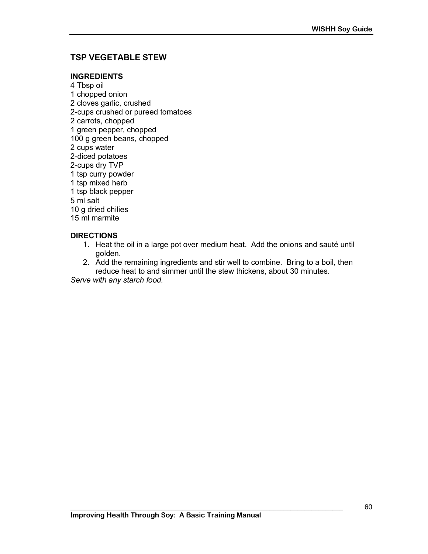### **TSP VEGETABLE STEW**

#### **INGREDIENTS**

4 Tbsp oil 1 chopped onion 2 cloves garlic, crushed 2-cups crushed or pureed tomatoes 2 carrots, chopped 1 green pepper, chopped 100 g green beans, chopped 2 cups water 2-diced potatoes 2-cups dry TVP 1 tsp curry powder 1 tsp mixed herb 1 tsp black pepper 5 ml salt 10 g dried chilies 15 ml marmite

#### **DIRECTIONS**

- 1. Heat the oil in a large pot over medium heat. Add the onions and sauté until golden.
- 2. Add the remaining ingredients and stir well to combine. Bring to a boil, then reduce heat to and simmer until the stew thickens, about 30 minutes.

*Serve with any starch food.*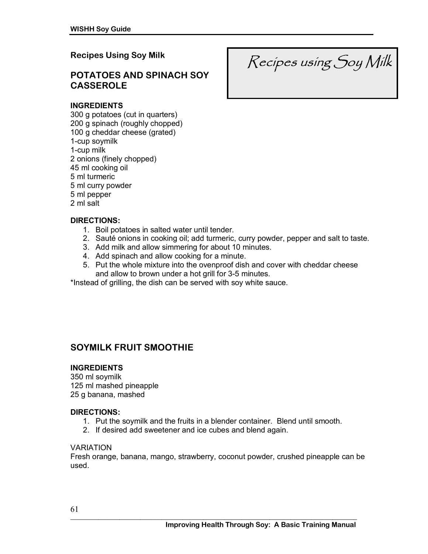### **Recipes Using Soy Milk**

### **POTATOES AND SPINACH SOY CASSEROLE**

#### **INGREDIENTS**

300 g potatoes (cut in quarters) 200 g spinach (roughly chopped) 100 g cheddar cheese (grated) 1-cup soymilk 1-cup milk 2 onions (finely chopped) 45 ml cooking oil 5 ml turmeric 5 ml curry powder 5 ml pepper 2 ml salt

#### **DIRECTIONS:**

- 1. Boil potatoes in salted water until tender.
- 2. Sauté onions in cooking oil; add turmeric, curry powder, pepper and salt to taste.
- 3. Add milk and allow simmering for about 10 minutes.
- 4. Add spinach and allow cooking for a minute.
- 5. Put the whole mixture into the ovenproof dish and cover with cheddar cheese and allow to brown under a hot grill for 3-5 minutes.

\*Instead of grilling, the dish can be served with soy white sauce.

### **SOYMILK FRUIT SMOOTHIE**

#### **INGREDIENTS**

350 ml soymilk 125 ml mashed pineapple 25 g banana, mashed

#### **DIRECTIONS:**

- 1. Put the soymilk and the fruits in a blender container. Blend until smooth.
- 2. If desired add sweetener and ice cubes and blend again.

#### VARIATION

Fresh orange, banana, mango, strawberry, coconut powder, crushed pineapple can be used.

Recipes using Soy Milk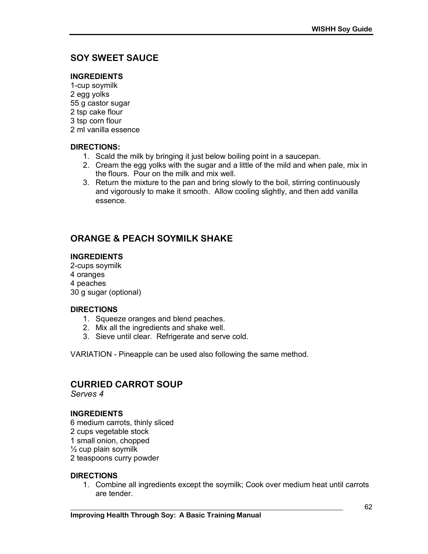# **SOY SWEET SAUCE**

#### **INGREDIENTS**

1-cup soymilk 2 egg yolks 55 g castor sugar 2 tsp cake flour 3 tsp corn flour 2 ml vanilla essence

#### **DIRECTIONS:**

- 1. Scald the milk by bringing it just below boiling point in a saucepan.
- 2. Cream the egg yolks with the sugar and a little of the mild and when pale, mix in the flours. Pour on the milk and mix well.
- 3. Return the mixture to the pan and bring slowly to the boil, stirring continuously and vigorously to make it smooth. Allow cooling slightly, and then add vanilla essence.

# **ORANGE & PEACH SOYMILK SHAKE**

#### **INGREDIENTS**

2-cups soymilk 4 oranges 4 peaches 30 g sugar (optional)

#### **DIRECTIONS**

- 1. Squeeze oranges and blend peaches.
- 2. Mix all the ingredients and shake well.
- 3. Sieve until clear. Refrigerate and serve cold.

VARIATION - Pineapple can be used also following the same method.

# **CURRIED CARROT SOUP**

*Serves 4* 

#### **INGREDIENTS**

6 medium carrots, thinly sliced 2 cups vegetable stock 1 small onion, chopped  $\frac{1}{2}$  cup plain soymilk 2 teaspoons curry powder

#### **DIRECTIONS**

1. Combine all ingredients except the soymilk; Cook over medium heat until carrots are tender.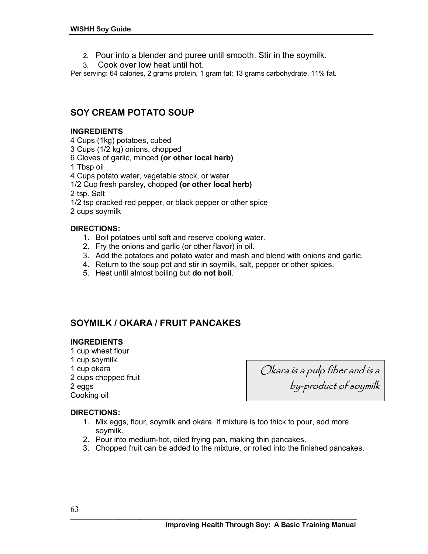- 2. Pour into a blender and puree until smooth. Stir in the soymilk.
- 3. Cook over low heat until hot.

Per serving: 64 calories, 2 grams protein, 1 gram fat; 13 grams carbohydrate, 11% fat.

# **SOY CREAM POTATO SOUP**

#### **INGREDIENTS**

- 4 Cups (1kg) potatoes, cubed
- 3 Cups (1/2 kg) onions, chopped
- 6 Cloves of garlic, minced **(or other local herb)**
- 1 Tbsp oil
- 4 Cups potato water, vegetable stock, or water
- 1/2 Cup fresh parsley, chopped **(or other local herb)**

2 tsp. Salt

- 1/2 tsp cracked red pepper, or black pepper or other spice
- 2 cups soymilk

#### **DIRECTIONS:**

- 1. Boil potatoes until soft and reserve cooking water.
- 2. Fry the onions and garlic (or other flavor) in oil.
- 3. Add the potatoes and potato water and mash and blend with onions and garlic.
- 4. Return to the soup pot and stir in soymilk, salt, pepper or other spices.
- 5. Heat until almost boiling but **do not boil**.

# **SOYMILK / OKARA / FRUIT PANCAKES**

#### **INGREDIENTS**

1 cup wheat flour 1 cup soymilk 1 cup okara 2 cups chopped fruit 2 eggs Cooking oil

Okara is a pulp fiber and is a by-product of soymilk

#### **DIRECTIONS:**

- 1. Mix eggs, flour, soymilk and okara. If mixture is too thick to pour, add more soymilk.
- 2. Pour into medium-hot, oiled frying pan, making thin pancakes.
- 3. Chopped fruit can be added to the mixture, or rolled into the finished pancakes.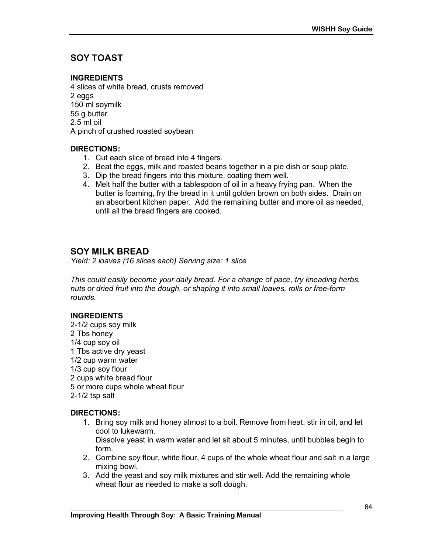# **SOY TOAST**

#### **INGREDIENTS**

4 slices of white bread, crusts removed 2 eggs 150 ml soymilk 55 g butter 2.5 ml oil A pinch of crushed roasted soybean

#### **DIRECTIONS:**

- 1. Cut each slice of bread into 4 fingers.
- 2. Beat the eggs, milk and roasted beans together in a pie dish or soup plate.
- 3. Dip the bread fingers into this mixture, coating them well.
- 4. Melt half the butter with a tablespoon of oil in a heavy frying pan. When the butter is foaming, fry the bread in it until golden brown on both sides. Drain on an absorbent kitchen paper. Add the remaining butter and more oil as needed, until all the bread fingers are cooked.

### **SOY MILK BREAD**

*Yield: 2 loaves (16 slices each) Serving size: 1 slice* 

*This could easily become your daily bread. For a change of pace, try kneading herbs, nuts or dried fruit into the dough, or shaping it into small loaves, rolls or free-form rounds.* 

#### **INGREDIENTS**

2-1/2 cups soy milk 2 Tbs honey 1/4 cup soy oil 1 Tbs active dry yeast 1/2 cup warm water 1/3 cup soy flour 2 cups white bread flour 5 or more cups whole wheat flour 2-1/2 tsp salt

#### **DIRECTIONS:**

1. Bring soy milk and honey almost to a boil. Remove from heat, stir in oil, and let cool to lukewarm.

Dissolve yeast in warm water and let sit about 5 minutes, until bubbles begin to form.

- 2. Combine soy flour, white flour, 4 cups of the whole wheat flour and salt in a large mixing bowl.
- 3. Add the yeast and soy milk mixtures and stir well. Add the remaining whole wheat flour as needed to make a soft dough.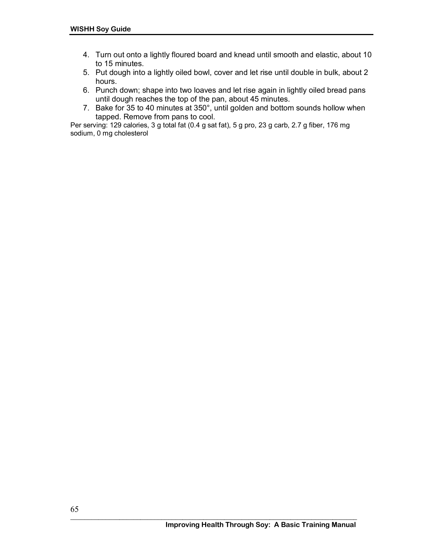- 4. Turn out onto a lightly floured board and knead until smooth and elastic, about 10 to 15 minutes.
- 5. Put dough into a lightly oiled bowl, cover and let rise until double in bulk, about 2 hours.
- 6. Punch down; shape into two loaves and let rise again in lightly oiled bread pans until dough reaches the top of the pan, about 45 minutes.
- 7. Bake for 35 to 40 minutes at 350°, until golden and bottom sounds hollow when tapped. Remove from pans to cool.

Per serving: 129 calories, 3 g total fat (0.4 g sat fat), 5 g pro, 23 g carb, 2.7 g fiber, 176 mg sodium, 0 mg cholesterol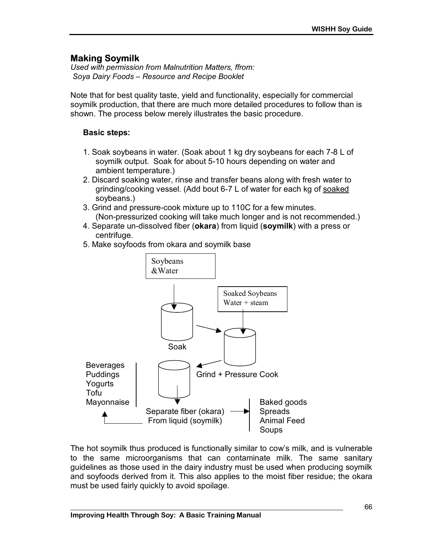# **Making Soymilk**

*Used with permission from Malnutrition Matters, ffrom: Soya Dairy Foods – Resource and Recipe Booklet* 

Note that for best quality taste, yield and functionality, especially for commercial soymilk production, that there are much more detailed procedures to follow than is shown. The process below merely illustrates the basic procedure.

### **Basic steps:**

- 1. Soak soybeans in water. (Soak about 1 kg dry soybeans for each 7-8 L of soymilk output. Soak for about 5-10 hours depending on water and ambient temperature.)
- 2. Discard soaking water, rinse and transfer beans along with fresh water to grinding/cooking vessel. (Add bout 6-7 L of water for each kg of soaked soybeans.)
- 3. Grind and pressure-cook mixture up to 110C for a few minutes. (Non-pressurized cooking will take much longer and is not recommended.)
- 4. Separate un-dissolved fiber (**okara**) from liquid (**soymilk**) with a press or centrifuge.
- 5. Make soyfoods from okara and soymilk base



The hot soymilk thus produced is functionally similar to cow's milk, and is vulnerable to the same microorganisms that can contaminate milk. The same sanitary guidelines as those used in the dairy industry must be used when producing soymilk and soyfoods derived from it. This also applies to the moist fiber residue; the okara must be used fairly quickly to avoid spoilage.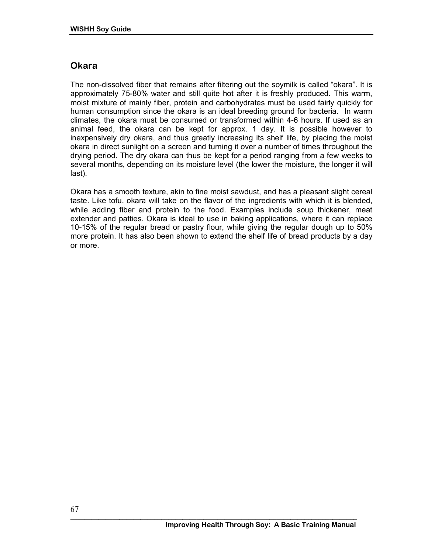# **Okara**

The non-dissolved fiber that remains after filtering out the soymilk is called "okara". It is approximately 75-80% water and still quite hot after it is freshly produced. This warm, moist mixture of mainly fiber, protein and carbohydrates must be used fairly quickly for human consumption since the okara is an ideal breeding ground for bacteria. In warm climates, the okara must be consumed or transformed within 4-6 hours. If used as an animal feed, the okara can be kept for approx. 1 day. It is possible however to inexpensively dry okara, and thus greatly increasing its shelf life, by placing the moist okara in direct sunlight on a screen and turning it over a number of times throughout the drying period. The dry okara can thus be kept for a period ranging from a few weeks to several months, depending on its moisture level (the lower the moisture, the longer it will last).

Okara has a smooth texture, akin to fine moist sawdust, and has a pleasant slight cereal taste. Like tofu, okara will take on the flavor of the ingredients with which it is blended, while adding fiber and protein to the food. Examples include soup thickener, meat extender and patties. Okara is ideal to use in baking applications, where it can replace 10-15% of the regular bread or pastry flour, while giving the regular dough up to 50% more protein. It has also been shown to extend the shelf life of bread products by a day or more.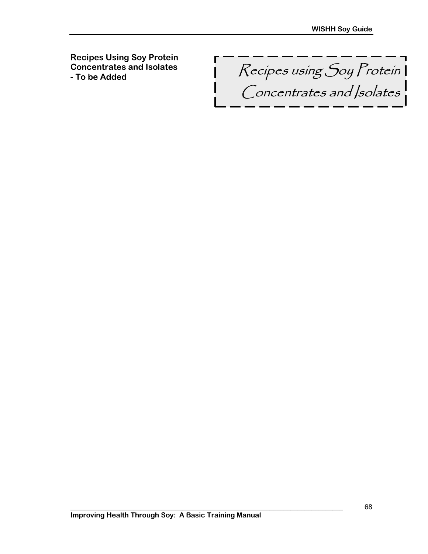**Recipes Using Soy Protein Concentrates and Isolates** 

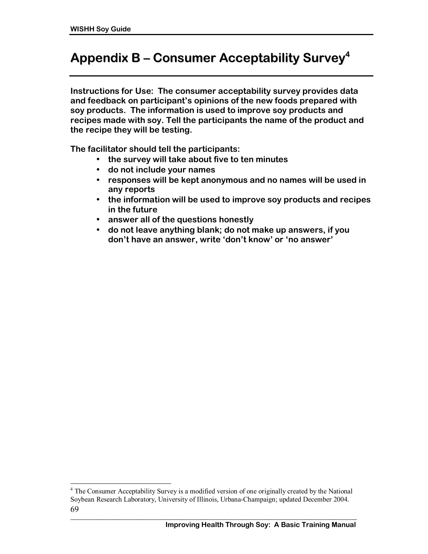$\overline{a}$ 

# **Appendix B ñ Consumer Acceptability Survey4**

**Instructions for Use: The consumer acceptability survey provides data**  and feedback on participant's opinions of the new foods prepared with **soy products. The information is used to improve soy products and recipes made with soy. Tell the participants the name of the product and the recipe they will be testing.** 

**The facilitator should tell the participants:** 

- **the survey will take about five to ten minutes**
- **do not include your names**
- **responses will be kept anonymous and no names will be used in any reports**
- **the information will be used to improve soy products and recipes in the future**
- **answer all of the questions honestly**
- **do not leave anything blank; do not make up answers, if you**  don't have an answer, write 'don't know' or 'no answer'

<sup>69</sup>  <sup>4</sup> The Consumer Acceptability Survey is a modified version of one originally created by the National Soybean Research Laboratory, University of Illinois, Urbana-Champaign; updated December 2004.